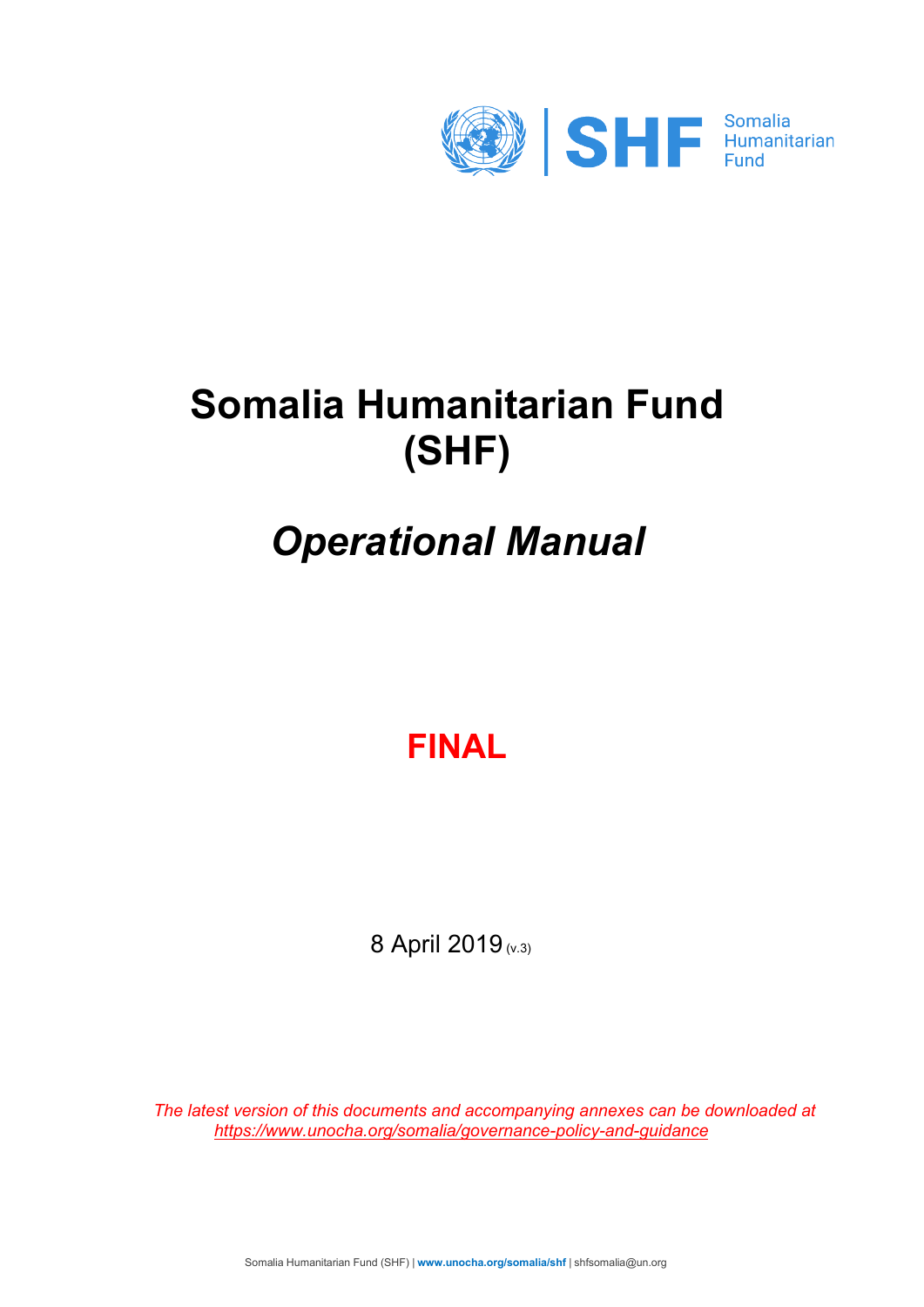

# **Somalia Humanitarian Fund (SHF)**

# *Operational Manual*

## **FINAL**

8 April 2019 (v.3)

*[The latest version of this documents and accompanying annexes can be downloaded at](https://docs.unocha.org/sites/dms/Somalia/SHF%20Operational%20Manual.zip) <https://www.unocha.org/somalia/governance-policy-and-guidance>*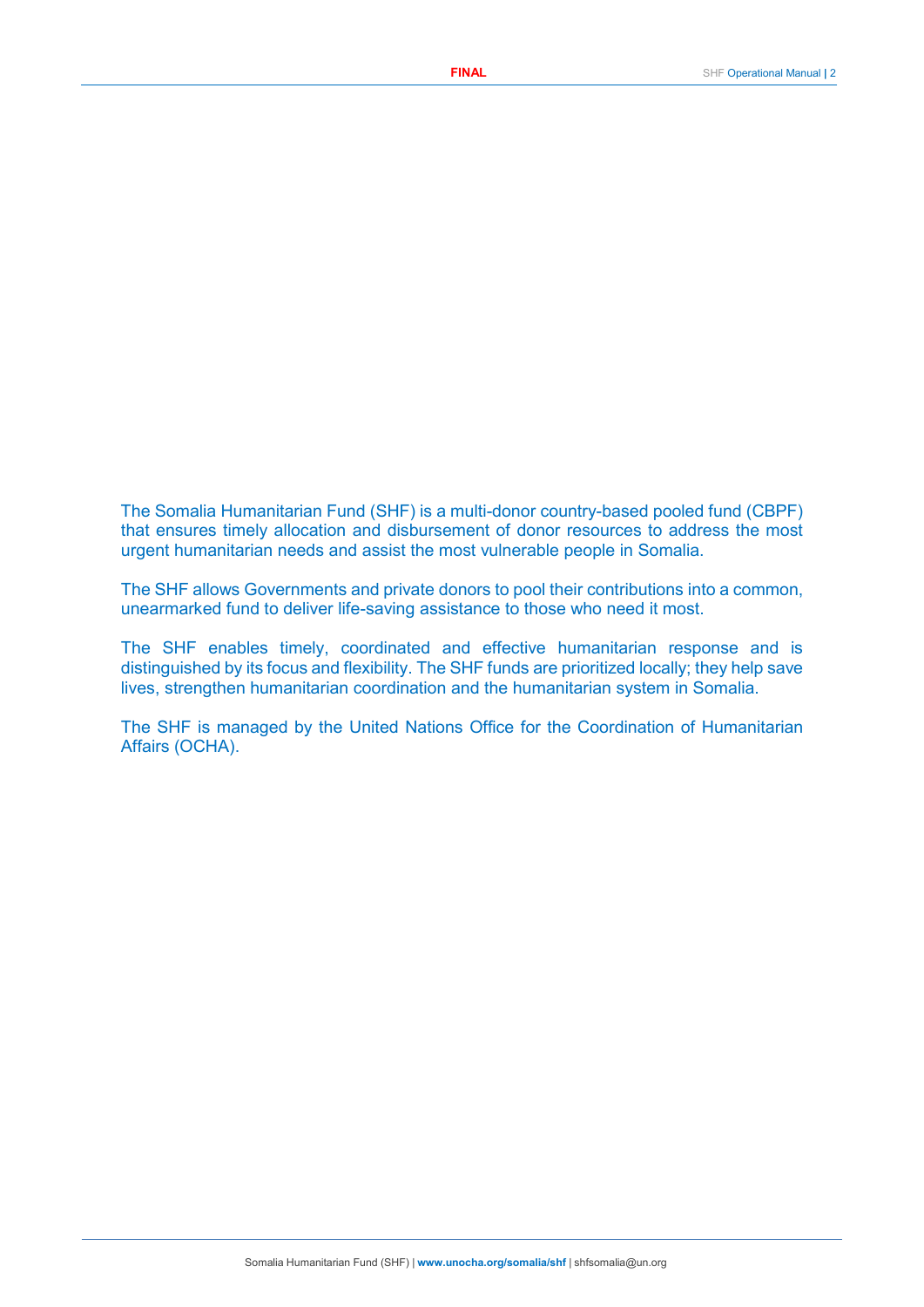The Somalia Humanitarian Fund (SHF) is a multi-donor country-based pooled fund (CBPF) that ensures timely allocation and disbursement of donor resources to address the most urgent humanitarian needs and assist the most vulnerable people in Somalia.

The SHF allows Governments and private donors to pool their contributions into a common, unearmarked fund to deliver life-saving assistance to those who need it most.

The SHF enables timely, coordinated and effective humanitarian response and is distinguished by its focus and flexibility. The SHF funds are prioritized locally; they help save lives, strengthen humanitarian coordination and the humanitarian system in Somalia.

The SHF is managed by the United Nations Office for the Coordination of Humanitarian Affairs (OCHA).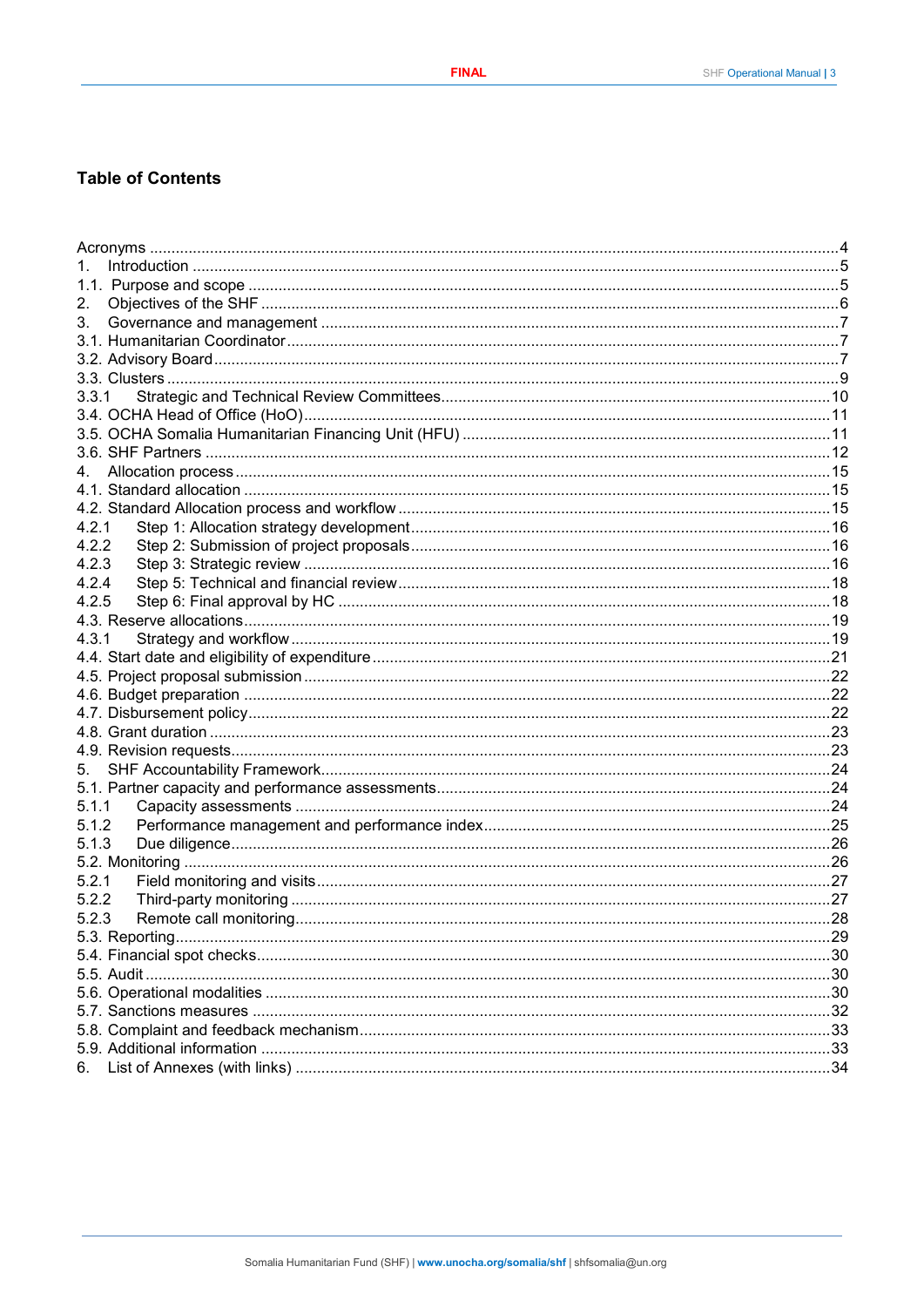## **Table of Contents**

| 2.    |  |
|-------|--|
| 3.    |  |
|       |  |
|       |  |
|       |  |
| 3.3.1 |  |
|       |  |
|       |  |
|       |  |
|       |  |
|       |  |
|       |  |
| 4.2.1 |  |
| 4.2.2 |  |
| 4.2.3 |  |
| 4.2.4 |  |
| 4.2.5 |  |
|       |  |
| 4.3.1 |  |
|       |  |
|       |  |
|       |  |
|       |  |
|       |  |
|       |  |
|       |  |
|       |  |
| 5.1.1 |  |
| 5.1.2 |  |
| 5.1.3 |  |
|       |  |
| 5.2.1 |  |
| 5.2.2 |  |
| 5.2.3 |  |
|       |  |
|       |  |
|       |  |
|       |  |
|       |  |
|       |  |
|       |  |
| 6.    |  |
|       |  |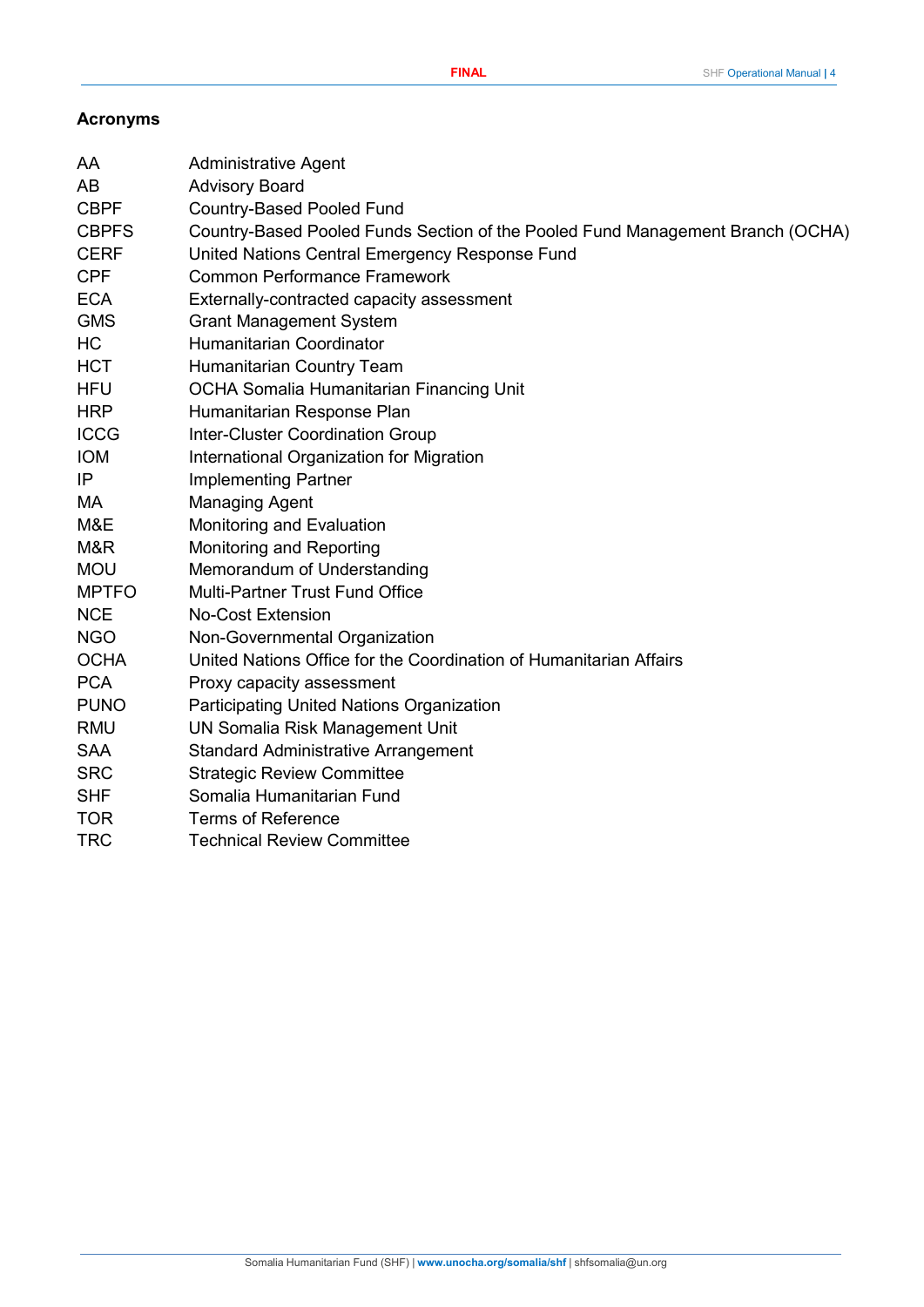## <span id="page-3-0"></span>**Acronyms**

| AB<br><b>Advisory Board</b><br><b>CBPF</b><br><b>Country-Based Pooled Fund</b><br><b>CBPFS</b><br>Country-Based Pooled Funds Section of the Pooled Fund Management Branch (OCHA)<br><b>CERF</b><br>United Nations Central Emergency Response Fund<br><b>CPF</b><br><b>Common Performance Framework</b><br><b>ECA</b><br>Externally-contracted capacity assessment<br><b>GMS</b><br><b>Grant Management System</b><br>HC<br><b>Humanitarian Coordinator</b><br><b>HCT</b><br>Humanitarian Country Team<br>OCHA Somalia Humanitarian Financing Unit<br><b>HFU</b><br><b>HRP</b><br>Humanitarian Response Plan<br><b>ICCG</b><br><b>Inter-Cluster Coordination Group</b><br><b>IOM</b><br>International Organization for Migration<br>IP<br><b>Implementing Partner</b><br>MA<br><b>Managing Agent</b><br>M&E<br>Monitoring and Evaluation<br>M&R<br>Monitoring and Reporting<br><b>MOU</b><br>Memorandum of Understanding<br><b>MPTFO</b><br><b>Multi-Partner Trust Fund Office</b><br><b>NCE</b><br><b>No-Cost Extension</b><br><b>NGO</b><br>Non-Governmental Organization<br><b>OCHA</b><br>United Nations Office for the Coordination of Humanitarian Affairs<br><b>PCA</b><br>Proxy capacity assessment<br><b>PUNO</b><br><b>Participating United Nations Organization</b><br><b>RMU</b><br><b>UN Somalia Risk Management Unit</b><br><b>SAA</b><br><b>Standard Administrative Arrangement</b><br><b>SRC</b><br><b>Strategic Review Committee</b><br>Somalia Humanitarian Fund<br><b>SHF</b><br><b>TOR</b><br><b>Terms of Reference</b><br><b>TRC</b><br><b>Technical Review Committee</b> | AA | <b>Administrative Agent</b> |
|-----------------------------------------------------------------------------------------------------------------------------------------------------------------------------------------------------------------------------------------------------------------------------------------------------------------------------------------------------------------------------------------------------------------------------------------------------------------------------------------------------------------------------------------------------------------------------------------------------------------------------------------------------------------------------------------------------------------------------------------------------------------------------------------------------------------------------------------------------------------------------------------------------------------------------------------------------------------------------------------------------------------------------------------------------------------------------------------------------------------------------------------------------------------------------------------------------------------------------------------------------------------------------------------------------------------------------------------------------------------------------------------------------------------------------------------------------------------------------------------------------------------------------------------------------------------------------------------------|----|-----------------------------|
|                                                                                                                                                                                                                                                                                                                                                                                                                                                                                                                                                                                                                                                                                                                                                                                                                                                                                                                                                                                                                                                                                                                                                                                                                                                                                                                                                                                                                                                                                                                                                                                               |    |                             |
|                                                                                                                                                                                                                                                                                                                                                                                                                                                                                                                                                                                                                                                                                                                                                                                                                                                                                                                                                                                                                                                                                                                                                                                                                                                                                                                                                                                                                                                                                                                                                                                               |    |                             |
|                                                                                                                                                                                                                                                                                                                                                                                                                                                                                                                                                                                                                                                                                                                                                                                                                                                                                                                                                                                                                                                                                                                                                                                                                                                                                                                                                                                                                                                                                                                                                                                               |    |                             |
|                                                                                                                                                                                                                                                                                                                                                                                                                                                                                                                                                                                                                                                                                                                                                                                                                                                                                                                                                                                                                                                                                                                                                                                                                                                                                                                                                                                                                                                                                                                                                                                               |    |                             |
|                                                                                                                                                                                                                                                                                                                                                                                                                                                                                                                                                                                                                                                                                                                                                                                                                                                                                                                                                                                                                                                                                                                                                                                                                                                                                                                                                                                                                                                                                                                                                                                               |    |                             |
|                                                                                                                                                                                                                                                                                                                                                                                                                                                                                                                                                                                                                                                                                                                                                                                                                                                                                                                                                                                                                                                                                                                                                                                                                                                                                                                                                                                                                                                                                                                                                                                               |    |                             |
|                                                                                                                                                                                                                                                                                                                                                                                                                                                                                                                                                                                                                                                                                                                                                                                                                                                                                                                                                                                                                                                                                                                                                                                                                                                                                                                                                                                                                                                                                                                                                                                               |    |                             |
|                                                                                                                                                                                                                                                                                                                                                                                                                                                                                                                                                                                                                                                                                                                                                                                                                                                                                                                                                                                                                                                                                                                                                                                                                                                                                                                                                                                                                                                                                                                                                                                               |    |                             |
|                                                                                                                                                                                                                                                                                                                                                                                                                                                                                                                                                                                                                                                                                                                                                                                                                                                                                                                                                                                                                                                                                                                                                                                                                                                                                                                                                                                                                                                                                                                                                                                               |    |                             |
|                                                                                                                                                                                                                                                                                                                                                                                                                                                                                                                                                                                                                                                                                                                                                                                                                                                                                                                                                                                                                                                                                                                                                                                                                                                                                                                                                                                                                                                                                                                                                                                               |    |                             |
|                                                                                                                                                                                                                                                                                                                                                                                                                                                                                                                                                                                                                                                                                                                                                                                                                                                                                                                                                                                                                                                                                                                                                                                                                                                                                                                                                                                                                                                                                                                                                                                               |    |                             |
|                                                                                                                                                                                                                                                                                                                                                                                                                                                                                                                                                                                                                                                                                                                                                                                                                                                                                                                                                                                                                                                                                                                                                                                                                                                                                                                                                                                                                                                                                                                                                                                               |    |                             |
|                                                                                                                                                                                                                                                                                                                                                                                                                                                                                                                                                                                                                                                                                                                                                                                                                                                                                                                                                                                                                                                                                                                                                                                                                                                                                                                                                                                                                                                                                                                                                                                               |    |                             |
|                                                                                                                                                                                                                                                                                                                                                                                                                                                                                                                                                                                                                                                                                                                                                                                                                                                                                                                                                                                                                                                                                                                                                                                                                                                                                                                                                                                                                                                                                                                                                                                               |    |                             |
|                                                                                                                                                                                                                                                                                                                                                                                                                                                                                                                                                                                                                                                                                                                                                                                                                                                                                                                                                                                                                                                                                                                                                                                                                                                                                                                                                                                                                                                                                                                                                                                               |    |                             |
|                                                                                                                                                                                                                                                                                                                                                                                                                                                                                                                                                                                                                                                                                                                                                                                                                                                                                                                                                                                                                                                                                                                                                                                                                                                                                                                                                                                                                                                                                                                                                                                               |    |                             |
|                                                                                                                                                                                                                                                                                                                                                                                                                                                                                                                                                                                                                                                                                                                                                                                                                                                                                                                                                                                                                                                                                                                                                                                                                                                                                                                                                                                                                                                                                                                                                                                               |    |                             |
|                                                                                                                                                                                                                                                                                                                                                                                                                                                                                                                                                                                                                                                                                                                                                                                                                                                                                                                                                                                                                                                                                                                                                                                                                                                                                                                                                                                                                                                                                                                                                                                               |    |                             |
|                                                                                                                                                                                                                                                                                                                                                                                                                                                                                                                                                                                                                                                                                                                                                                                                                                                                                                                                                                                                                                                                                                                                                                                                                                                                                                                                                                                                                                                                                                                                                                                               |    |                             |
|                                                                                                                                                                                                                                                                                                                                                                                                                                                                                                                                                                                                                                                                                                                                                                                                                                                                                                                                                                                                                                                                                                                                                                                                                                                                                                                                                                                                                                                                                                                                                                                               |    |                             |
|                                                                                                                                                                                                                                                                                                                                                                                                                                                                                                                                                                                                                                                                                                                                                                                                                                                                                                                                                                                                                                                                                                                                                                                                                                                                                                                                                                                                                                                                                                                                                                                               |    |                             |
|                                                                                                                                                                                                                                                                                                                                                                                                                                                                                                                                                                                                                                                                                                                                                                                                                                                                                                                                                                                                                                                                                                                                                                                                                                                                                                                                                                                                                                                                                                                                                                                               |    |                             |
|                                                                                                                                                                                                                                                                                                                                                                                                                                                                                                                                                                                                                                                                                                                                                                                                                                                                                                                                                                                                                                                                                                                                                                                                                                                                                                                                                                                                                                                                                                                                                                                               |    |                             |
|                                                                                                                                                                                                                                                                                                                                                                                                                                                                                                                                                                                                                                                                                                                                                                                                                                                                                                                                                                                                                                                                                                                                                                                                                                                                                                                                                                                                                                                                                                                                                                                               |    |                             |
|                                                                                                                                                                                                                                                                                                                                                                                                                                                                                                                                                                                                                                                                                                                                                                                                                                                                                                                                                                                                                                                                                                                                                                                                                                                                                                                                                                                                                                                                                                                                                                                               |    |                             |
|                                                                                                                                                                                                                                                                                                                                                                                                                                                                                                                                                                                                                                                                                                                                                                                                                                                                                                                                                                                                                                                                                                                                                                                                                                                                                                                                                                                                                                                                                                                                                                                               |    |                             |
|                                                                                                                                                                                                                                                                                                                                                                                                                                                                                                                                                                                                                                                                                                                                                                                                                                                                                                                                                                                                                                                                                                                                                                                                                                                                                                                                                                                                                                                                                                                                                                                               |    |                             |
|                                                                                                                                                                                                                                                                                                                                                                                                                                                                                                                                                                                                                                                                                                                                                                                                                                                                                                                                                                                                                                                                                                                                                                                                                                                                                                                                                                                                                                                                                                                                                                                               |    |                             |
|                                                                                                                                                                                                                                                                                                                                                                                                                                                                                                                                                                                                                                                                                                                                                                                                                                                                                                                                                                                                                                                                                                                                                                                                                                                                                                                                                                                                                                                                                                                                                                                               |    |                             |
|                                                                                                                                                                                                                                                                                                                                                                                                                                                                                                                                                                                                                                                                                                                                                                                                                                                                                                                                                                                                                                                                                                                                                                                                                                                                                                                                                                                                                                                                                                                                                                                               |    |                             |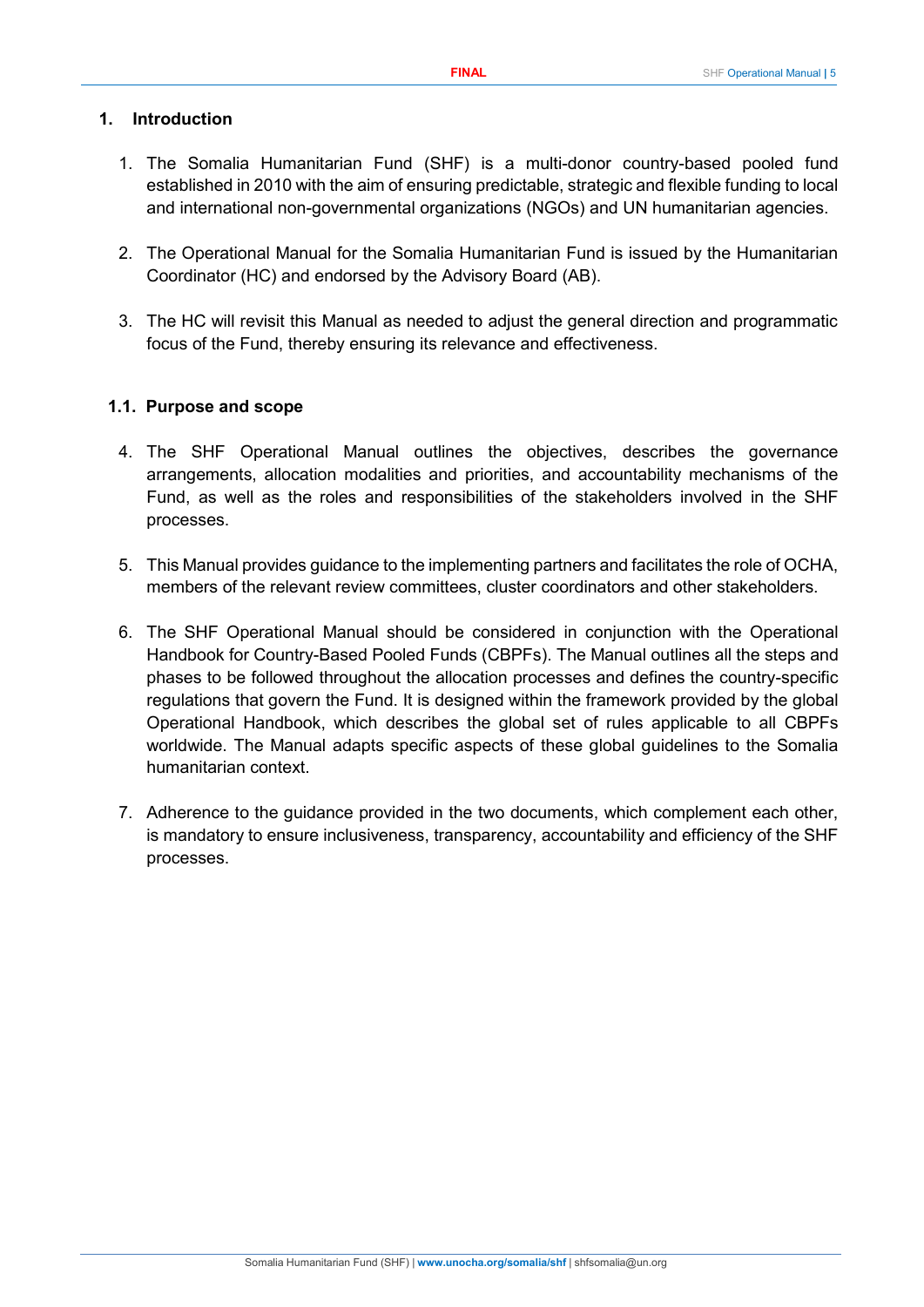## <span id="page-4-0"></span>**1. Introduction**

- 1. The Somalia Humanitarian Fund (SHF) is a multi-donor country-based pooled fund established in 2010 with the aim of ensuring predictable, strategic and flexible funding to local and international non-governmental organizations (NGOs) and UN humanitarian agencies.
- 2. The Operational Manual for the Somalia Humanitarian Fund is issued by the Humanitarian Coordinator (HC) and endorsed by the Advisory Board (AB).
- 3. The HC will revisit this Manual as needed to adjust the general direction and programmatic focus of the Fund, thereby ensuring its relevance and effectiveness.

## <span id="page-4-1"></span>**1.1. Purpose and scope**

- 4. The SHF Operational Manual outlines the objectives, describes the governance arrangements, allocation modalities and priorities, and accountability mechanisms of the Fund, as well as the roles and responsibilities of the stakeholders involved in the SHF processes.
- 5. This Manual provides guidance to the implementing partners and facilitates the role of OCHA, members of the relevant review committees, cluster coordinators and other stakeholders.
- 6. The SHF Operational Manual should be considered in conjunction with the Operational Handbook for Country-Based Pooled Funds (CBPFs). The Manual outlines all the steps and phases to be followed throughout the allocation processes and defines the country-specific regulations that govern the Fund. It is designed within the framework provided by the global Operational Handbook, which describes the global set of rules applicable to all CBPFs worldwide. The Manual adapts specific aspects of these global guidelines to the Somalia humanitarian context.
- 7. Adherence to the guidance provided in the two documents, which complement each other, is mandatory to ensure inclusiveness, transparency, accountability and efficiency of the SHF processes.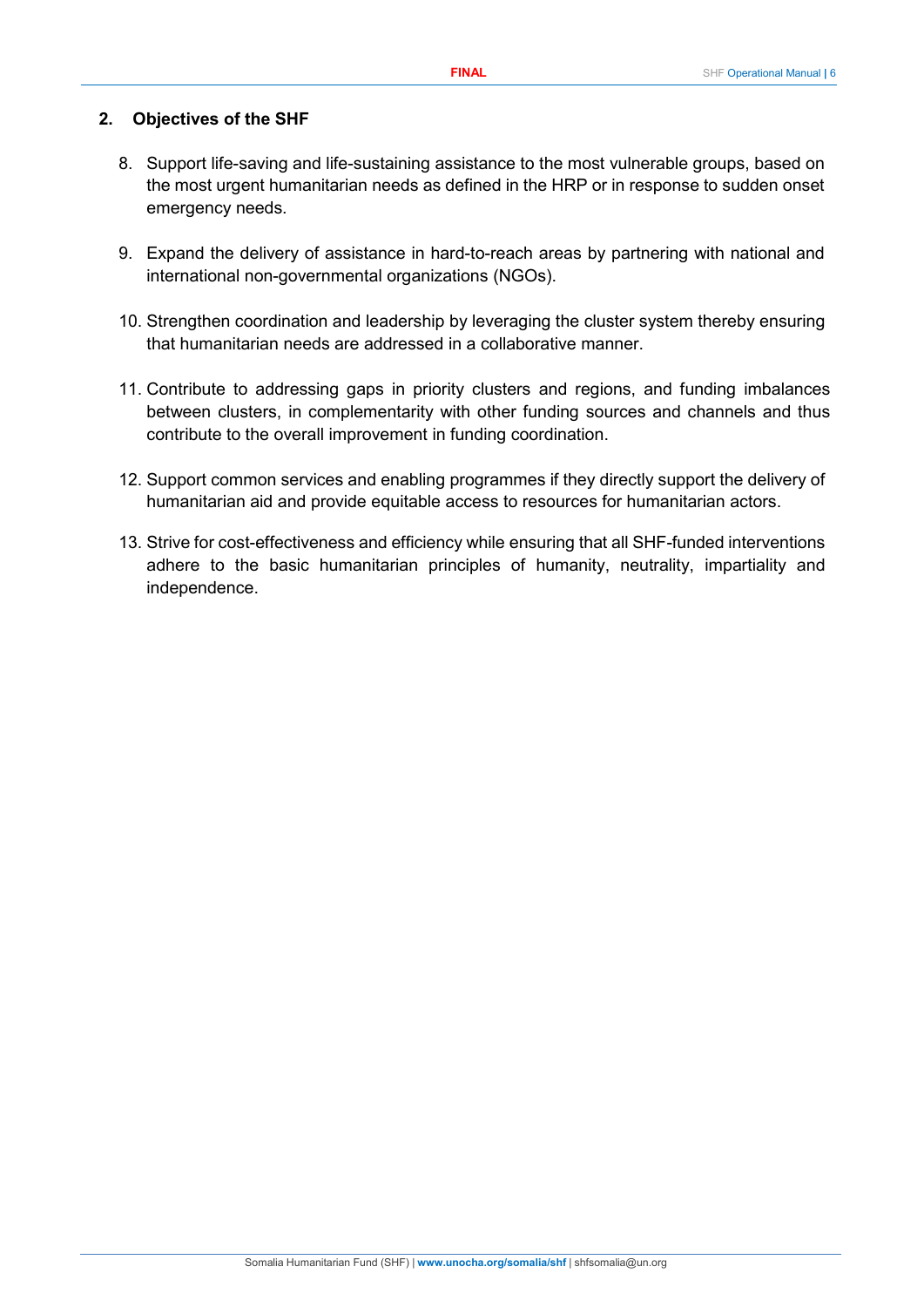#### <span id="page-5-0"></span>**2. Objectives of the SHF**

- 8. Support life-saving and life-sustaining assistance to the most vulnerable groups, based on the most urgent humanitarian needs as defined in the HRP or in response to sudden onset emergency needs.
- 9. Expand the delivery of assistance in hard-to-reach areas by partnering with national and international non-governmental organizations (NGOs).
- 10. Strengthen coordination and leadership by leveraging the cluster system thereby ensuring that humanitarian needs are addressed in a collaborative manner.
- 11. Contribute to addressing gaps in priority clusters and regions, and funding imbalances between clusters, in complementarity with other funding sources and channels and thus contribute to the overall improvement in funding coordination.
- 12. Support common services and enabling programmes if they directly support the delivery of humanitarian aid and provide equitable access to resources for humanitarian actors.
- 13. Strive for cost-effectiveness and efficiency while ensuring that all SHF-funded interventions adhere to the basic humanitarian principles of humanity, neutrality, impartiality and independence.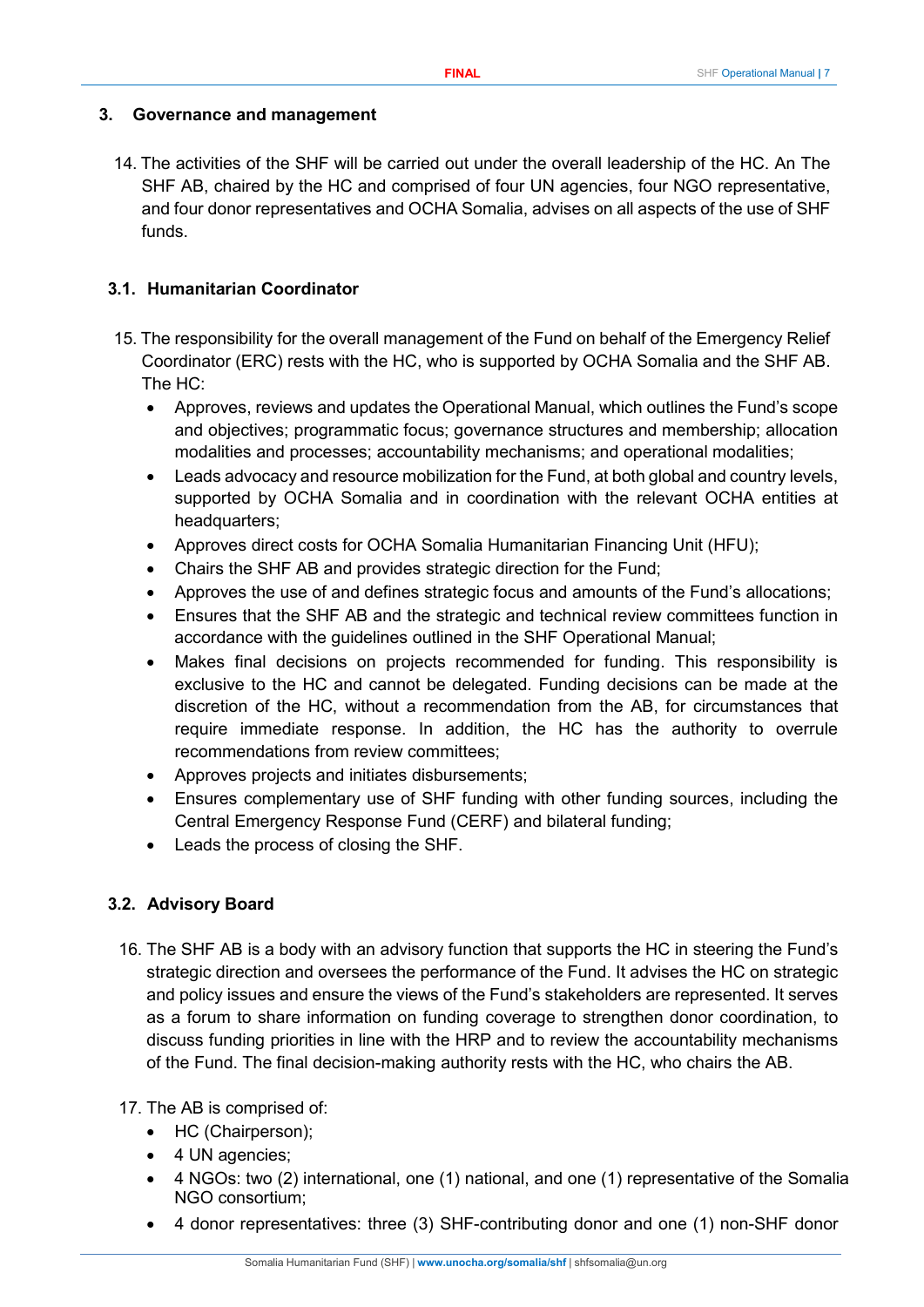#### <span id="page-6-0"></span>**3. Governance and management**

14. The activities of the SHF will be carried out under the overall leadership of the HC. An The SHF AB, chaired by the HC and comprised of four UN agencies, four NGO representative, and four donor representatives and OCHA Somalia, advises on all aspects of the use of SHF funds.

#### <span id="page-6-1"></span>**3.1. Humanitarian Coordinator**

- 15. The responsibility for the overall management of the Fund on behalf of the Emergency Relief Coordinator (ERC) rests with the HC, who is supported by OCHA Somalia and the SHF AB. The HC:
	- Approves, reviews and updates the Operational Manual, which outlines the Fund's scope and objectives; programmatic focus; governance structures and membership; allocation modalities and processes; accountability mechanisms; and operational modalities;
	- Leads advocacy and resource mobilization for the Fund, at both global and country levels, supported by OCHA Somalia and in coordination with the relevant OCHA entities at headquarters;
	- Approves direct costs for OCHA Somalia Humanitarian Financing Unit (HFU);
	- Chairs the SHF AB and provides strategic direction for the Fund;
	- Approves the use of and defines strategic focus and amounts of the Fund's allocations;
	- Ensures that the SHF AB and the strategic and technical review committees function in accordance with the guidelines outlined in the SHF Operational Manual;
	- Makes final decisions on projects recommended for funding. This responsibility is exclusive to the HC and cannot be delegated. Funding decisions can be made at the discretion of the HC, without a recommendation from the AB, for circumstances that require immediate response. In addition, the HC has the authority to overrule recommendations from review committees;
	- Approves projects and initiates disbursements;
	- Ensures complementary use of SHF funding with other funding sources, including the Central Emergency Response Fund (CERF) and bilateral funding;
	- Leads the process of closing the SHF.

## <span id="page-6-2"></span>**3.2. Advisory Board**

16. The SHF AB is a body with an advisory function that supports the HC in steering the Fund's strategic direction and oversees the performance of the Fund. It advises the HC on strategic and policy issues and ensure the views of the Fund's stakeholders are represented. It serves as a forum to share information on funding coverage to strengthen donor coordination, to discuss funding priorities in line with the HRP and to review the accountability mechanisms of the Fund. The final decision-making authority rests with the HC, who chairs the AB.

17. The AB is comprised of:

- HC (Chairperson);
- 4 UN agencies;
- 4 NGOs: two (2) international, one (1) national, and one (1) representative of the Somalia NGO consortium;
- 4 donor representatives: three (3) SHF-contributing donor and one (1) non-SHF donor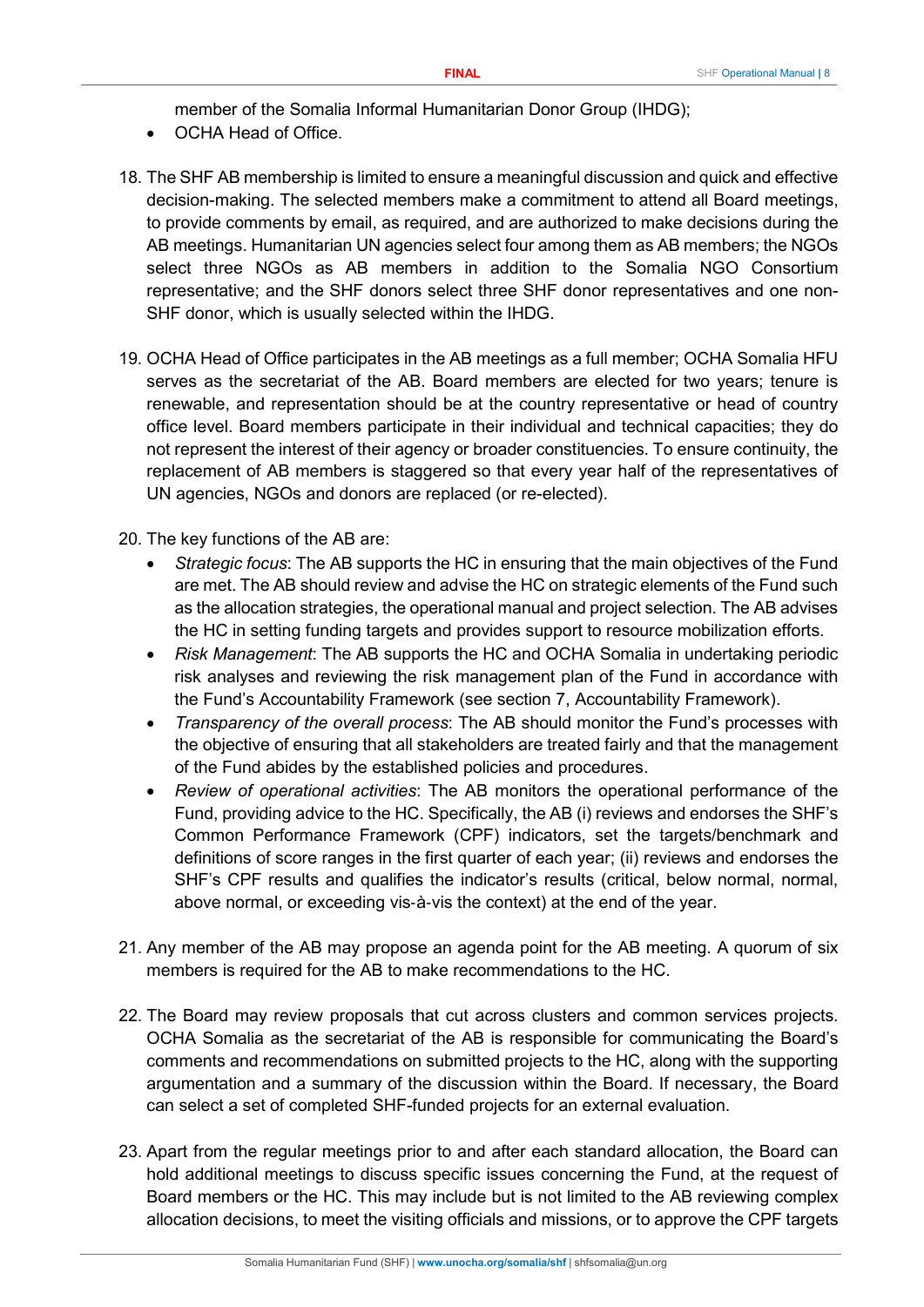member of the Somalia Informal Humanitarian Donor Group (IHDG);

- OCHA Head of Office.
- 18. The SHF AB membership is limited to ensure a meaningful discussion and quick and effective decision-making. The selected members make a commitment to attend all Board meetings, to provide comments by email, as required, and are authorized to make decisions during the AB meetings. Humanitarian UN agencies select four among them as AB members; the NGOs select three NGOs as AB members in addition to the Somalia NGO Consortium representative; and the SHF donors select three SHF donor representatives and one non-SHF donor, which is usually selected within the IHDG.
- 19. OCHA Head of Office participates in the AB meetings as a full member; OCHA Somalia HFU serves as the secretariat of the AB. Board members are elected for two years; tenure is renewable, and representation should be at the country representative or head of country office level. Board members participate in their individual and technical capacities; they do not represent the interest of their agency or broader constituencies. To ensure continuity, the replacement of AB members is staggered so that every year half of the representatives of UN agencies, NGOs and donors are replaced (or re-elected).
- 20. The key functions of the AB are:
	- *Strategic focus*: The AB supports the HC in ensuring that the main objectives of the Fund are met. The AB should review and advise the HC on strategic elements of the Fund such as the allocation strategies, the operational manual and project selection. The AB advises the HC in setting funding targets and provides support to resource mobilization efforts.
	- *Risk Management*: The AB supports the HC and OCHA Somalia in undertaking periodic risk analyses and reviewing the risk management plan of the Fund in accordance with the Fund's Accountability Framework (see section 7, Accountability Framework).
	- *Transparency of the overall process*: The AB should monitor the Fund's processes with the objective of ensuring that all stakeholders are treated fairly and that the management of the Fund abides by the established policies and procedures.
	- *Review of operational activities*: The AB monitors the operational performance of the Fund, providing advice to the HC. Specifically, the AB (i) reviews and endorses the SHF's Common Performance Framework (CPF) indicators, set the targets/benchmark and definitions of score ranges in the first quarter of each year; (ii) reviews and endorses the SHF's CPF results and qualifies the indicator's results (critical, below normal, normal, above normal, or exceeding vis‐à‐vis the context) at the end of the year.
- 21. Any member of the AB may propose an agenda point for the AB meeting. A quorum of six members is required for the AB to make recommendations to the HC.
- 22. The Board may review proposals that cut across clusters and common services projects. OCHA Somalia as the secretariat of the AB is responsible for communicating the Board's comments and recommendations on submitted projects to the HC, along with the supporting argumentation and a summary of the discussion within the Board. If necessary, the Board can select a set of completed SHF-funded projects for an external evaluation.
- 23. Apart from the regular meetings prior to and after each standard allocation, the Board can hold additional meetings to discuss specific issues concerning the Fund, at the request of Board members or the HC. This may include but is not limited to the AB reviewing complex allocation decisions, to meet the visiting officials and missions, or to approve the CPF targets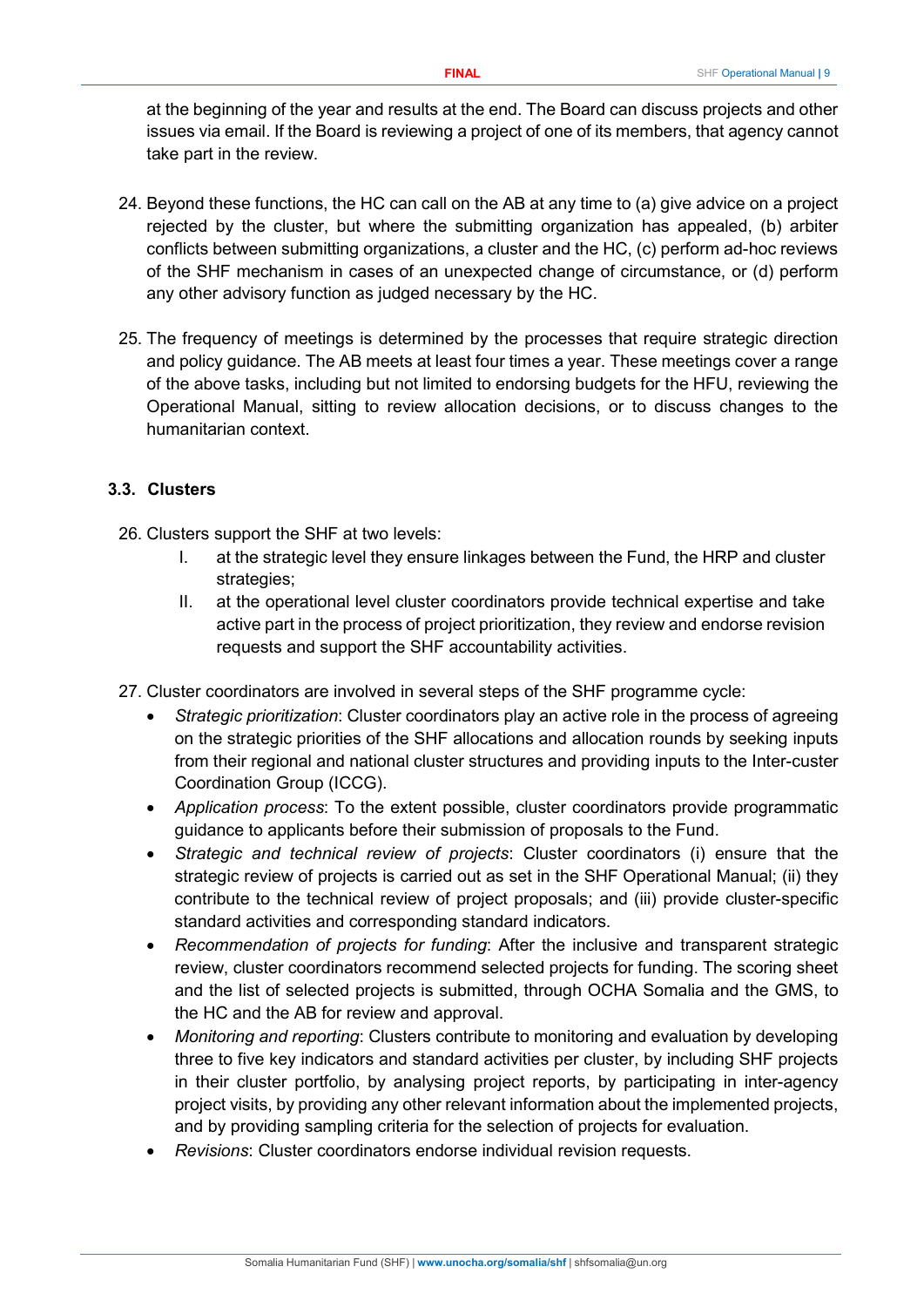at the beginning of the year and results at the end. The Board can discuss projects and other issues via email. If the Board is reviewing a project of one of its members, that agency cannot take part in the review.

- 24. Beyond these functions, the HC can call on the AB at any time to (a) give advice on a project rejected by the cluster, but where the submitting organization has appealed, (b) arbiter conflicts between submitting organizations, a cluster and the HC, (c) perform ad-hoc reviews of the SHF mechanism in cases of an unexpected change of circumstance, or (d) perform any other advisory function as judged necessary by the HC.
- 25. The frequency of meetings is determined by the processes that require strategic direction and policy guidance. The AB meets at least four times a year. These meetings cover a range of the above tasks, including but not limited to endorsing budgets for the HFU, reviewing the Operational Manual, sitting to review allocation decisions, or to discuss changes to the humanitarian context.

## <span id="page-8-0"></span>**3.3. Clusters**

- 26. Clusters support the SHF at two levels:
	- I. at the strategic level they ensure linkages between the Fund, the HRP and cluster strategies;
	- II. at the operational level cluster coordinators provide technical expertise and take active part in the process of project prioritization, they review and endorse revision requests and support the SHF accountability activities.
- 27. Cluster coordinators are involved in several steps of the SHF programme cycle:
	- *Strategic prioritization*: Cluster coordinators play an active role in the process of agreeing on the strategic priorities of the SHF allocations and allocation rounds by seeking inputs from their regional and national cluster structures and providing inputs to the Inter-custer Coordination Group (ICCG).
	- *Application process*: To the extent possible, cluster coordinators provide programmatic guidance to applicants before their submission of proposals to the Fund.
	- *Strategic and technical review of projects*: Cluster coordinators (i) ensure that the strategic review of projects is carried out as set in the SHF Operational Manual; (ii) they contribute to the technical review of project proposals; and (iii) provide cluster-specific standard activities and corresponding standard indicators.
	- *Recommendation of projects for funding*: After the inclusive and transparent strategic review, cluster coordinators recommend selected projects for funding. The scoring sheet and the list of selected projects is submitted, through OCHA Somalia and the GMS, to the HC and the AB for review and approval.
	- *Monitoring and reporting*: Clusters contribute to monitoring and evaluation by developing three to five key indicators and standard activities per cluster, by including SHF projects in their cluster portfolio, by analysing project reports, by participating in inter-agency project visits, by providing any other relevant information about the implemented projects, and by providing sampling criteria for the selection of projects for evaluation.
	- *Revisions*: Cluster coordinators endorse individual revision requests.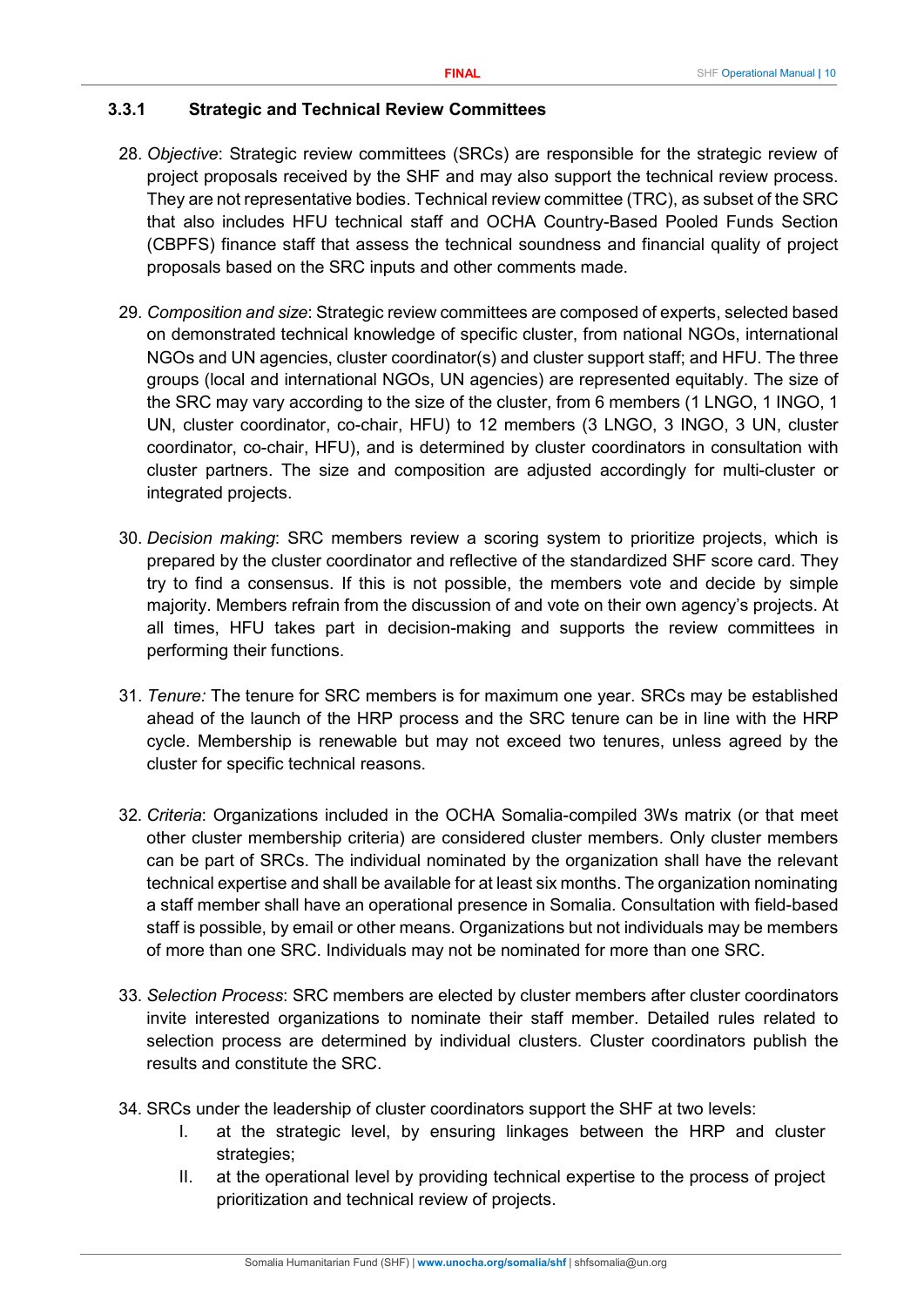#### <span id="page-9-0"></span>**3.3.1 Strategic and Technical Review Committees**

- 28. *Objective*: Strategic review committees (SRCs) are responsible for the strategic review of project proposals received by the SHF and may also support the technical review process. They are not representative bodies. Technical review committee (TRC), as subset of the SRC that also includes HFU technical staff and OCHA Country-Based Pooled Funds Section (CBPFS) finance staff that assess the technical soundness and financial quality of project proposals based on the SRC inputs and other comments made.
- 29. *Composition and size*: Strategic review committees are composed of experts, selected based on demonstrated technical knowledge of specific cluster, from national NGOs, international NGOs and UN agencies, cluster coordinator(s) and cluster support staff; and HFU. The three groups (local and international NGOs, UN agencies) are represented equitably. The size of the SRC may vary according to the size of the cluster, from 6 members (1 LNGO, 1 INGO, 1 UN, cluster coordinator, co-chair, HFU) to 12 members (3 LNGO, 3 INGO, 3 UN, cluster coordinator, co-chair, HFU), and is determined by cluster coordinators in consultation with cluster partners. The size and composition are adjusted accordingly for multi-cluster or integrated projects.
- 30. *Decision making*: SRC members review a scoring system to prioritize projects, which is prepared by the cluster coordinator and reflective of the standardized SHF score card. They try to find a consensus. If this is not possible, the members vote and decide by simple majority. Members refrain from the discussion of and vote on their own agency's projects. At all times, HFU takes part in decision-making and supports the review committees in performing their functions.
- 31. *Tenure:* The tenure for SRC members is for maximum one year. SRCs may be established ahead of the launch of the HRP process and the SRC tenure can be in line with the HRP cycle. Membership is renewable but may not exceed two tenures, unless agreed by the cluster for specific technical reasons.
- 32. *Criteria*: Organizations included in the OCHA Somalia-compiled 3Ws matrix (or that meet other cluster membership criteria) are considered cluster members. Only cluster members can be part of SRCs. The individual nominated by the organization shall have the relevant technical expertise and shall be available for at least six months. The organization nominating a staff member shall have an operational presence in Somalia. Consultation with field-based staff is possible, by email or other means. Organizations but not individuals may be members of more than one SRC. Individuals may not be nominated for more than one SRC.
- 33. *Selection Process*: SRC members are elected by cluster members after cluster coordinators invite interested organizations to nominate their staff member. Detailed rules related to selection process are determined by individual clusters. Cluster coordinators publish the results and constitute the SRC.
- 34. SRCs under the leadership of cluster coordinators support the SHF at two levels:
	- I. at the strategic level, by ensuring linkages between the HRP and cluster strategies;
	- II. at the operational level by providing technical expertise to the process of project prioritization and technical review of projects.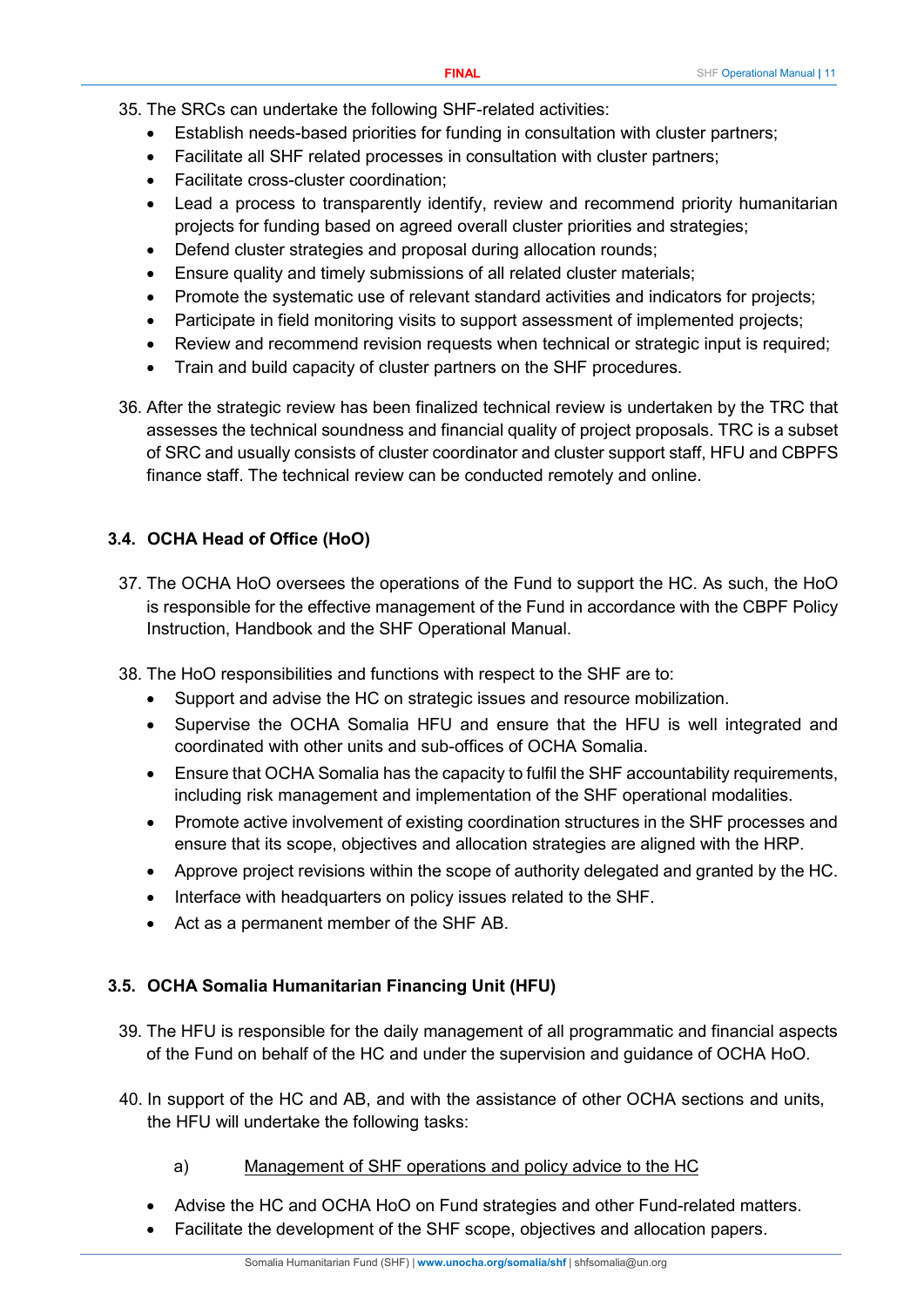- 35. The SRCs can undertake the following SHF-related activities:
	- Establish needs-based priorities for funding in consultation with cluster partners;
	- Facilitate all SHF related processes in consultation with cluster partners;
	- Facilitate cross-cluster coordination;
	- Lead a process to transparently identify, review and recommend priority humanitarian projects for funding based on agreed overall cluster priorities and strategies;
	- Defend cluster strategies and proposal during allocation rounds;
	- Ensure quality and timely submissions of all related cluster materials;
	- Promote the systematic use of relevant standard activities and indicators for projects;
	- Participate in field monitoring visits to support assessment of implemented projects;
	- Review and recommend revision requests when technical or strategic input is required;
	- Train and build capacity of cluster partners on the SHF procedures.
- 36. After the strategic review has been finalized technical review is undertaken by the TRC that assesses the technical soundness and financial quality of project proposals. TRC is a subset of SRC and usually consists of cluster coordinator and cluster support staff, HFU and CBPFS finance staff. The technical review can be conducted remotely and online.

## <span id="page-10-0"></span>**3.4. OCHA Head of Office (HoO)**

- 37. The OCHA HoO oversees the operations of the Fund to support the HC. As such, the HoO is responsible for the effective management of the Fund in accordance with the CBPF Policy Instruction, Handbook and the SHF Operational Manual.
- 38. The HoO responsibilities and functions with respect to the SHF are to:
	- Support and advise the HC on strategic issues and resource mobilization.
	- Supervise the OCHA Somalia HFU and ensure that the HFU is well integrated and coordinated with other units and sub-offices of OCHA Somalia.
	- Ensure that OCHA Somalia has the capacity to fulfil the SHF accountability requirements, including risk management and implementation of the SHF operational modalities.
	- Promote active involvement of existing coordination structures in the SHF processes and ensure that its scope, objectives and allocation strategies are aligned with the HRP.
	- Approve project revisions within the scope of authority delegated and granted by the HC.
	- Interface with headquarters on policy issues related to the SHF.
	- Act as a permanent member of the SHF AB.

#### <span id="page-10-1"></span>**3.5. OCHA Somalia Humanitarian Financing Unit (HFU)**

- 39. The HFU is responsible for the daily management of all programmatic and financial aspects of the Fund on behalf of the HC and under the supervision and guidance of OCHA HoO.
- 40. In support of the HC and AB, and with the assistance of other OCHA sections and units, the HFU will undertake the following tasks:
	- a) Management of SHF operations and policy advice to the HC
	- Advise the HC and OCHA HoO on Fund strategies and other Fund-related matters.
	- Facilitate the development of the SHF scope, objectives and allocation papers.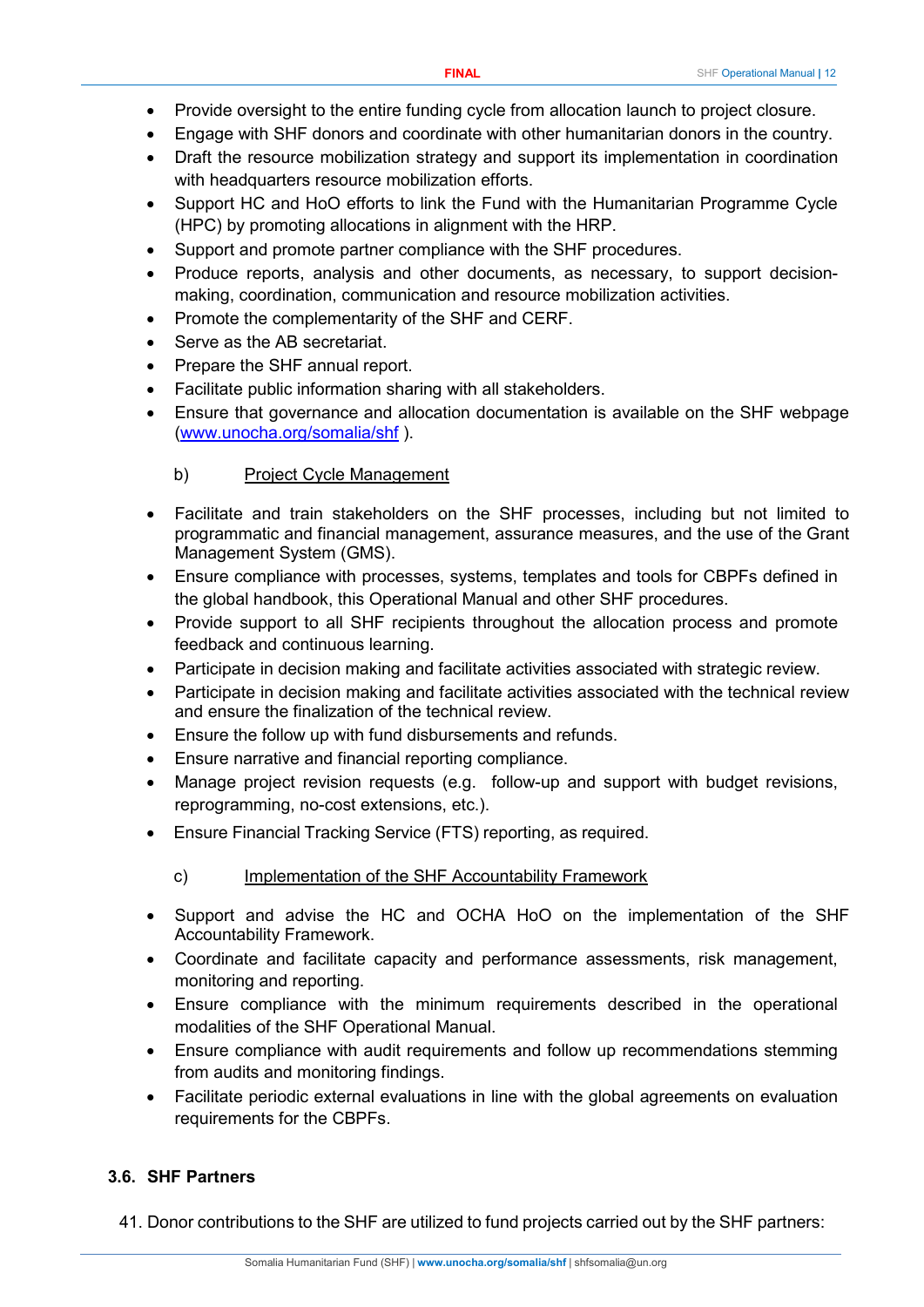- Provide oversight to the entire funding cycle from allocation launch to project closure.
- Engage with SHF donors and coordinate with other humanitarian donors in the country.
- Draft the resource mobilization strategy and support its implementation in coordination with headquarters resource mobilization efforts.
- Support HC and HoO efforts to link the Fund with the Humanitarian Programme Cycle (HPC) by promoting allocations in alignment with the HRP.
- Support and promote partner compliance with the SHF procedures.
- Produce reports, analysis and other documents, as necessary, to support decisionmaking, coordination, communication and resource mobilization activities.
- Promote the complementarity of the SHF and CERF.
- Serve as the AB secretariat.
- Prepare the SHF annual report.
- Facilitate public information sharing with all stakeholders.
- Ensure that governance and allocation documentation is available on the SHF webpage [\(www.unocha.org/somalia/shf](http://www.unocha.org/somalia/shf) ).

#### b) Project Cycle Management

- Facilitate and train stakeholders on the SHF processes, including but not limited to programmatic and financial management, assurance measures, and the use of the Grant Management System (GMS).
- Ensure compliance with processes, systems, templates and tools for CBPFs defined in the global handbook, this Operational Manual and other SHF procedures.
- Provide support to all SHF recipients throughout the allocation process and promote feedback and continuous learning.
- Participate in decision making and facilitate activities associated with strategic review.
- Participate in decision making and facilitate activities associated with the technical review and ensure the finalization of the technical review.
- Ensure the follow up with fund disbursements and refunds.
- Ensure narrative and financial reporting compliance.
- Manage project revision requests (e.g. follow-up and support with budget revisions, reprogramming, no-cost extensions, etc.).
- Ensure Financial Tracking Service (FTS) reporting, as required.
	- c) Implementation of the SHF Accountability Framework
- Support and advise the HC and OCHA HoO on the implementation of the SHF Accountability Framework.
- Coordinate and facilitate capacity and performance assessments, risk management, monitoring and reporting.
- Ensure compliance with the minimum requirements described in the operational modalities of the SHF Operational Manual.
- Ensure compliance with audit requirements and follow up recommendations stemming from audits and monitoring findings.
- Facilitate periodic external evaluations in line with the global agreements on evaluation requirements for the CBPFs.

## <span id="page-11-0"></span>**3.6. SHF Partners**

41. Donor contributions to the SHF are utilized to fund projects carried out by the SHF partners: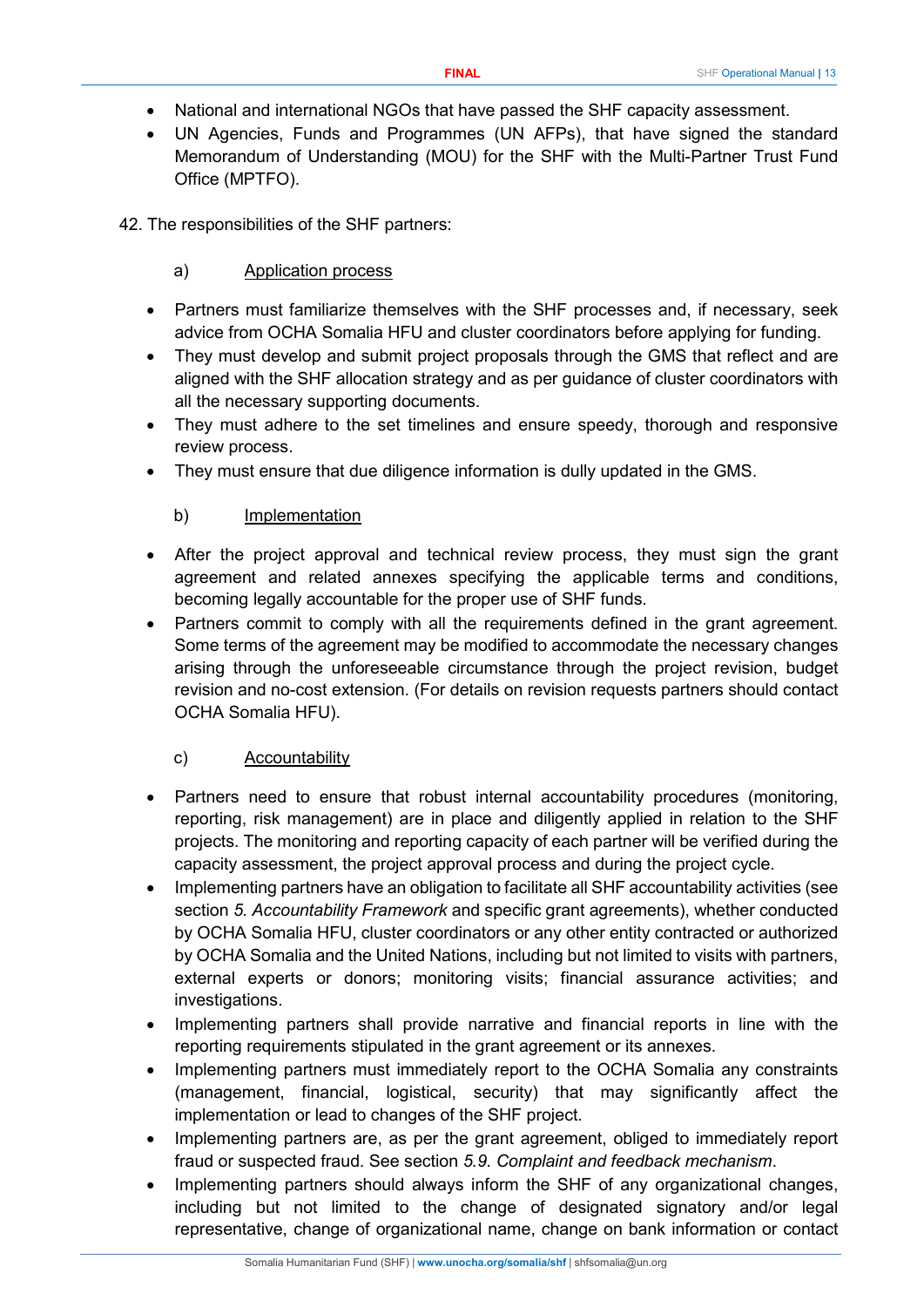- National and international NGOs that have passed the SHF capacity assessment.
- UN Agencies, Funds and Programmes (UN AFPs), that have signed the standard Memorandum of Understanding (MOU) for the SHF with the Multi-Partner Trust Fund Office (MPTFO).
- 42. The responsibilities of the SHF partners:

## a) Application process

- Partners must familiarize themselves with the SHF processes and, if necessary, seek advice from OCHA Somalia HFU and cluster coordinators before applying for funding.
- They must develop and submit project proposals through the GMS that reflect and are aligned with the SHF allocation strategy and as per guidance of cluster coordinators with all the necessary supporting documents.
- They must adhere to the set timelines and ensure speedy, thorough and responsive review process.
- They must ensure that due diligence information is dully updated in the GMS.

## b) Implementation

- After the project approval and technical review process, they must sign the grant agreement and related annexes specifying the applicable terms and conditions, becoming legally accountable for the proper use of SHF funds.
- Partners commit to comply with all the requirements defined in the grant agreement. Some terms of the agreement may be modified to accommodate the necessary changes arising through the unforeseeable circumstance through the project revision, budget revision and no-cost extension. (For details on revision requests partners should contact OCHA Somalia HFU).

#### c) Accountability

- Partners need to ensure that robust internal accountability procedures (monitoring, reporting, risk management) are in place and diligently applied in relation to the SHF projects. The monitoring and reporting capacity of each partner will be verified during the capacity assessment, the project approval process and during the project cycle.
- Implementing partners have an obligation to facilitate all SHF accountability activities (see section *5. Accountability Framework* and specific grant agreements), whether conducted by OCHA Somalia HFU, cluster coordinators or any other entity contracted or authorized by OCHA Somalia and the United Nations, including but not limited to visits with partners, external experts or donors; monitoring visits; financial assurance activities; and investigations.
- Implementing partners shall provide narrative and financial reports in line with the reporting requirements stipulated in the grant agreement or its annexes.
- Implementing partners must immediately report to the OCHA Somalia any constraints (management, financial, logistical, security) that may significantly affect the implementation or lead to changes of the SHF project.
- Implementing partners are, as per the grant agreement, obliged to immediately report fraud or suspected fraud. See section *5.9. Complaint and feedback mechanism*.
- Implementing partners should always inform the SHF of any organizational changes, including but not limited to the change of designated signatory and/or legal representative, change of organizational name, change on bank information or contact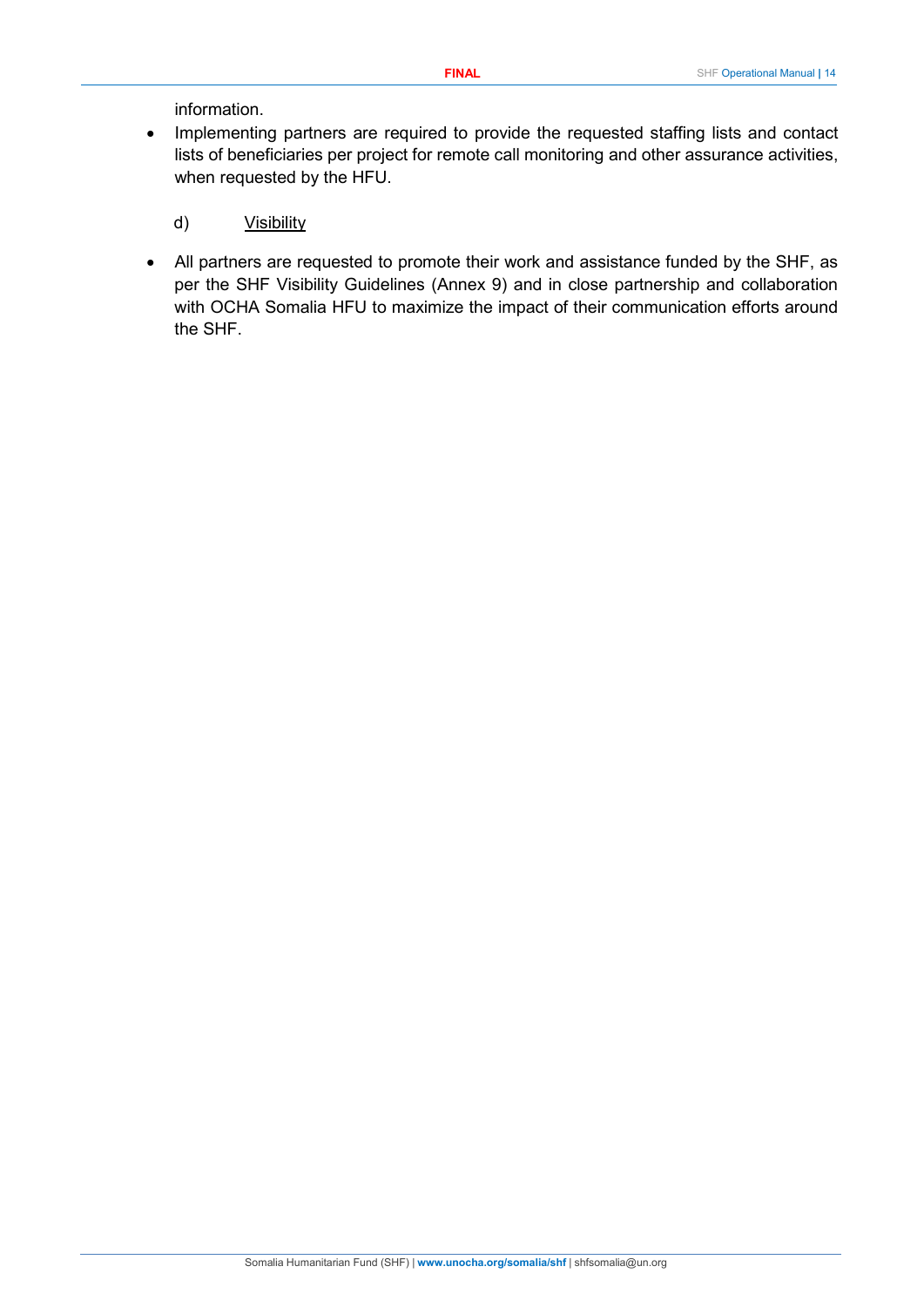#### information.

- Implementing partners are required to provide the requested staffing lists and contact lists of beneficiaries per project for remote call monitoring and other assurance activities, when requested by the HFU.
	- d) Visibility
- All partners are requested to promote their work and assistance funded by the SHF, as per the SHF Visibility Guidelines (Annex 9) and in close partnership and collaboration with OCHA Somalia HFU to maximize the impact of their communication efforts around the SHF.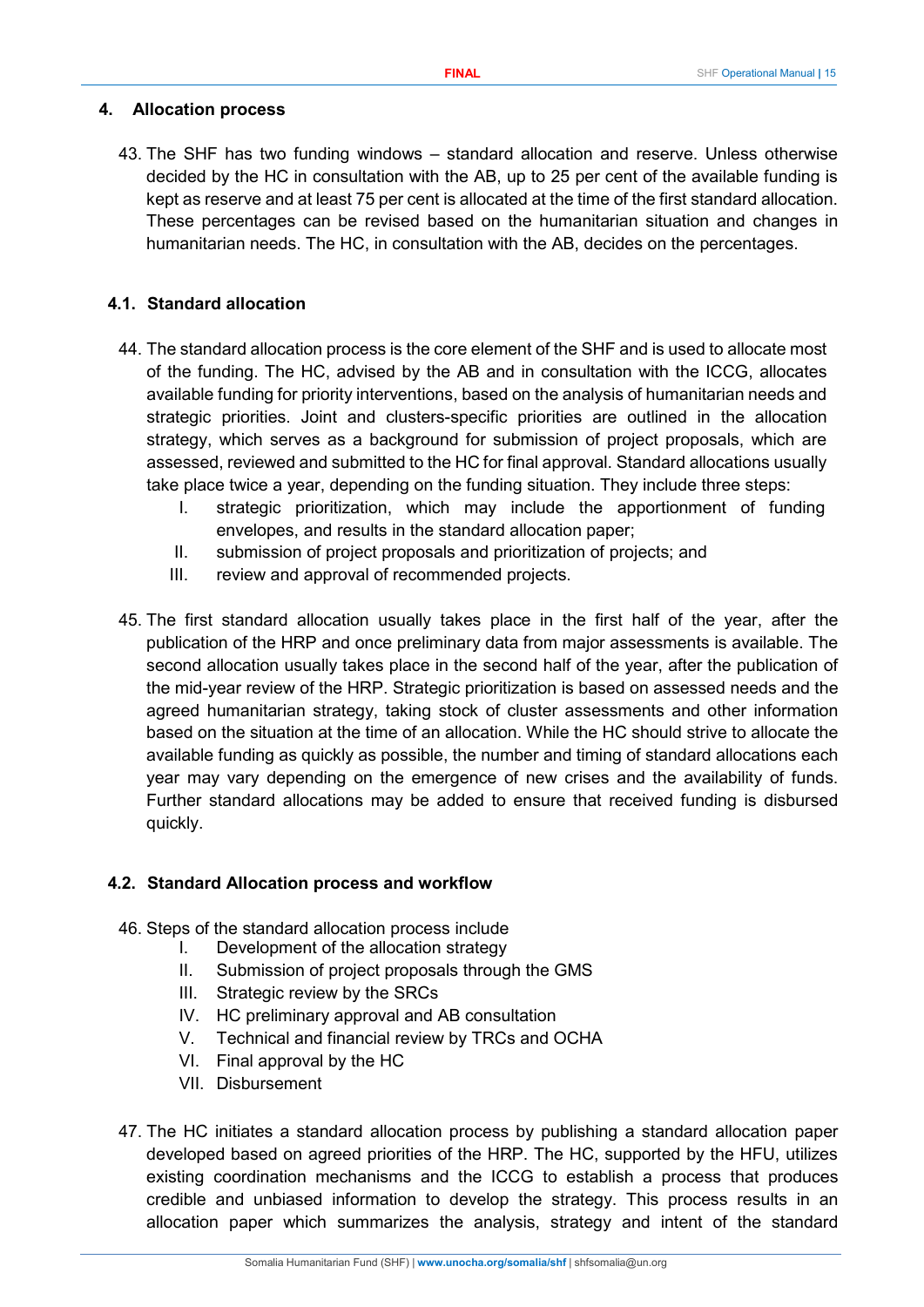#### <span id="page-14-0"></span>**4. Allocation process**

43. The SHF has two funding windows – standard allocation and reserve. Unless otherwise decided by the HC in consultation with the AB, up to 25 per cent of the available funding is kept as reserve and at least 75 per cent is allocated at the time of the first standard allocation. These percentages can be revised based on the humanitarian situation and changes in humanitarian needs. The HC, in consultation with the AB, decides on the percentages.

#### <span id="page-14-1"></span>**4.1. Standard allocation**

- 44. The standard allocation process is the core element of the SHF and is used to allocate most of the funding. The HC, advised by the AB and in consultation with the ICCG, allocates available funding for priority interventions, based on the analysis of humanitarian needs and strategic priorities. Joint and clusters-specific priorities are outlined in the allocation strategy, which serves as a background for submission of project proposals, which are assessed, reviewed and submitted to the HC for final approval. Standard allocations usually take place twice a year, depending on the funding situation. They include three steps:
	- I. strategic prioritization, which may include the apportionment of funding envelopes, and results in the standard allocation paper;
	- II. submission of project proposals and prioritization of projects; and
	- III. review and approval of recommended projects.
- 45. The first standard allocation usually takes place in the first half of the year, after the publication of the HRP and once preliminary data from major assessments is available. The second allocation usually takes place in the second half of the year, after the publication of the mid-year review of the HRP. Strategic prioritization is based on assessed needs and the agreed humanitarian strategy, taking stock of cluster assessments and other information based on the situation at the time of an allocation. While the HC should strive to allocate the available funding as quickly as possible, the number and timing of standard allocations each year may vary depending on the emergence of new crises and the availability of funds. Further standard allocations may be added to ensure that received funding is disbursed quickly.

#### <span id="page-14-2"></span>**4.2. Standard Allocation process and workflow**

- 46. Steps of the standard allocation process include
	- I. Development of the allocation strategy
	- II. Submission of project proposals through the GMS
	- III. Strategic review by the SRCs
	- IV. HC preliminary approval and AB consultation
	- V. Technical and financial review by TRCs and OCHA
	- VI. Final approval by the HC
	- VII. Disbursement
- 47. The HC initiates a standard allocation process by publishing a standard allocation paper developed based on agreed priorities of the HRP. The HC, supported by the HFU, utilizes existing coordination mechanisms and the ICCG to establish a process that produces credible and unbiased information to develop the strategy. This process results in an allocation paper which summarizes the analysis, strategy and intent of the standard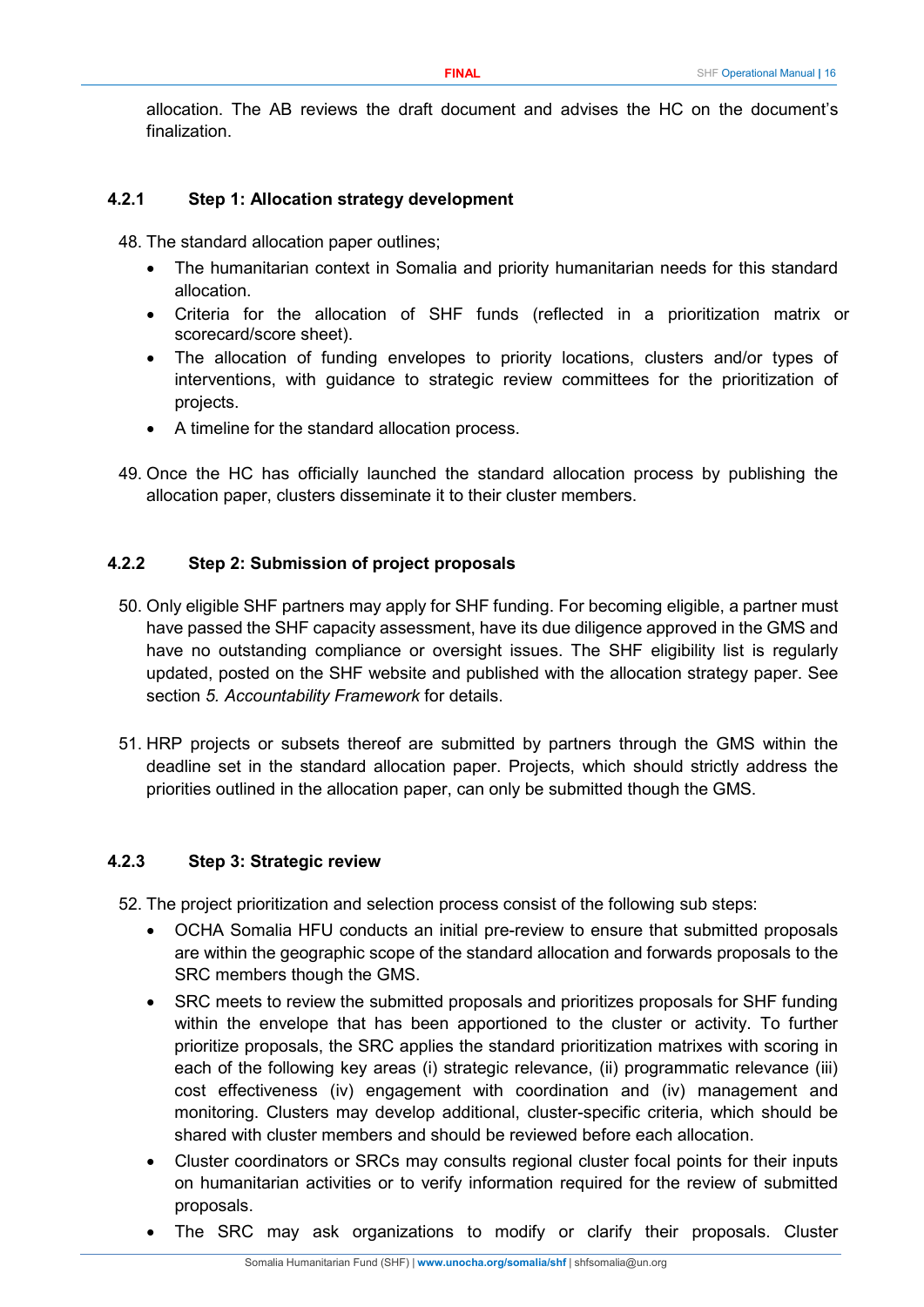allocation. The AB reviews the draft document and advises the HC on the document's finalization.

#### <span id="page-15-0"></span>**4.2.1 Step 1: Allocation strategy development**

48. The standard allocation paper outlines;

- The humanitarian context in Somalia and priority humanitarian needs for this standard allocation.
- Criteria for the allocation of SHF funds (reflected in a prioritization matrix or scorecard/score sheet).
- The allocation of funding envelopes to priority locations, clusters and/or types of interventions, with guidance to strategic review committees for the prioritization of projects.
- A timeline for the standard allocation process.
- 49. Once the HC has officially launched the standard allocation process by publishing the allocation paper, clusters disseminate it to their cluster members.

#### <span id="page-15-1"></span>**4.2.2 Step 2: Submission of project proposals**

- 50. Only eligible SHF partners may apply for SHF funding. For becoming eligible, a partner must have passed the SHF capacity assessment, have its due diligence approved in the GMS and have no outstanding compliance or oversight issues. The SHF eligibility list is regularly updated, posted on the SHF website and published with the allocation strategy paper. See section *5. Accountability Framework* for details.
- 51. HRP projects or subsets thereof are submitted by partners through the GMS within the deadline set in the standard allocation paper. Projects, which should strictly address the priorities outlined in the allocation paper, can only be submitted though the GMS.

#### <span id="page-15-2"></span>**4.2.3 Step 3: Strategic review**

52. The project prioritization and selection process consist of the following sub steps:

- OCHA Somalia HFU conducts an initial pre-review to ensure that submitted proposals are within the geographic scope of the standard allocation and forwards proposals to the SRC members though the GMS.
- SRC meets to review the submitted proposals and prioritizes proposals for SHF funding within the envelope that has been apportioned to the cluster or activity. To further prioritize proposals, the SRC applies the standard prioritization matrixes with scoring in each of the following key areas (i) strategic relevance, (ii) programmatic relevance (iii) cost effectiveness (iv) engagement with coordination and (iv) management and monitoring. Clusters may develop additional, cluster-specific criteria, which should be shared with cluster members and should be reviewed before each allocation.
- Cluster coordinators or SRCs may consults regional cluster focal points for their inputs on humanitarian activities or to verify information required for the review of submitted proposals.
- The SRC may ask organizations to modify or clarify their proposals. Cluster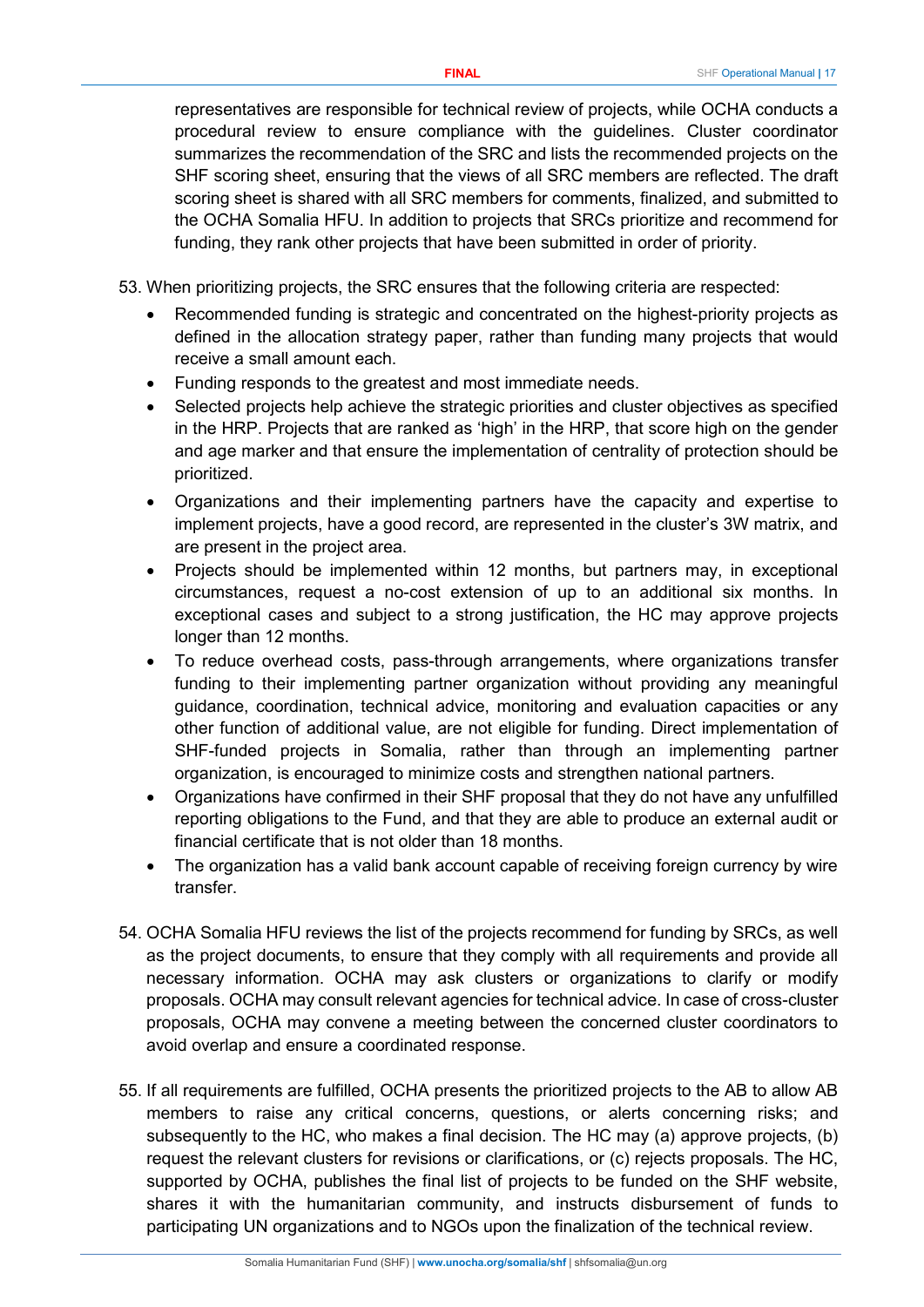representatives are responsible for technical review of projects, while OCHA conducts a procedural review to ensure compliance with the guidelines. Cluster coordinator summarizes the recommendation of the SRC and lists the recommended projects on the SHF scoring sheet, ensuring that the views of all SRC members are reflected. The draft scoring sheet is shared with all SRC members for comments, finalized, and submitted to the OCHA Somalia HFU. In addition to projects that SRCs prioritize and recommend for funding, they rank other projects that have been submitted in order of priority.

53. When prioritizing projects, the SRC ensures that the following criteria are respected:

- Recommended funding is strategic and concentrated on the highest-priority projects as defined in the allocation strategy paper, rather than funding many projects that would receive a small amount each.
- Funding responds to the greatest and most immediate needs.
- Selected projects help achieve the strategic priorities and cluster objectives as specified in the HRP. Projects that are ranked as 'high' in the HRP, that score high on the gender and age marker and that ensure the implementation of centrality of protection should be prioritized.
- Organizations and their implementing partners have the capacity and expertise to implement projects, have a good record, are represented in the cluster's 3W matrix, and are present in the project area.
- Projects should be implemented within 12 months, but partners may, in exceptional circumstances, request a no-cost extension of up to an additional six months. In exceptional cases and subject to a strong justification, the HC may approve projects longer than 12 months.
- To reduce overhead costs, pass-through arrangements, where organizations transfer funding to their implementing partner organization without providing any meaningful guidance, coordination, technical advice, monitoring and evaluation capacities or any other function of additional value, are not eligible for funding. Direct implementation of SHF-funded projects in Somalia, rather than through an implementing partner organization, is encouraged to minimize costs and strengthen national partners.
- Organizations have confirmed in their SHF proposal that they do not have any unfulfilled reporting obligations to the Fund, and that they are able to produce an external audit or financial certificate that is not older than 18 months.
- The organization has a valid bank account capable of receiving foreign currency by wire transfer.
- 54. OCHA Somalia HFU reviews the list of the projects recommend for funding by SRCs, as well as the project documents, to ensure that they comply with all requirements and provide all necessary information. OCHA may ask clusters or organizations to clarify or modify proposals. OCHA may consult relevant agencies for technical advice. In case of cross-cluster proposals, OCHA may convene a meeting between the concerned cluster coordinators to avoid overlap and ensure a coordinated response.
- 55. If all requirements are fulfilled, OCHA presents the prioritized projects to the AB to allow AB members to raise any critical concerns, questions, or alerts concerning risks; and subsequently to the HC, who makes a final decision. The HC may (a) approve projects, (b) request the relevant clusters for revisions or clarifications, or (c) rejects proposals. The HC, supported by OCHA, publishes the final list of projects to be funded on the SHF website, shares it with the humanitarian community, and instructs disbursement of funds to participating UN organizations and to NGOs upon the finalization of the technical review.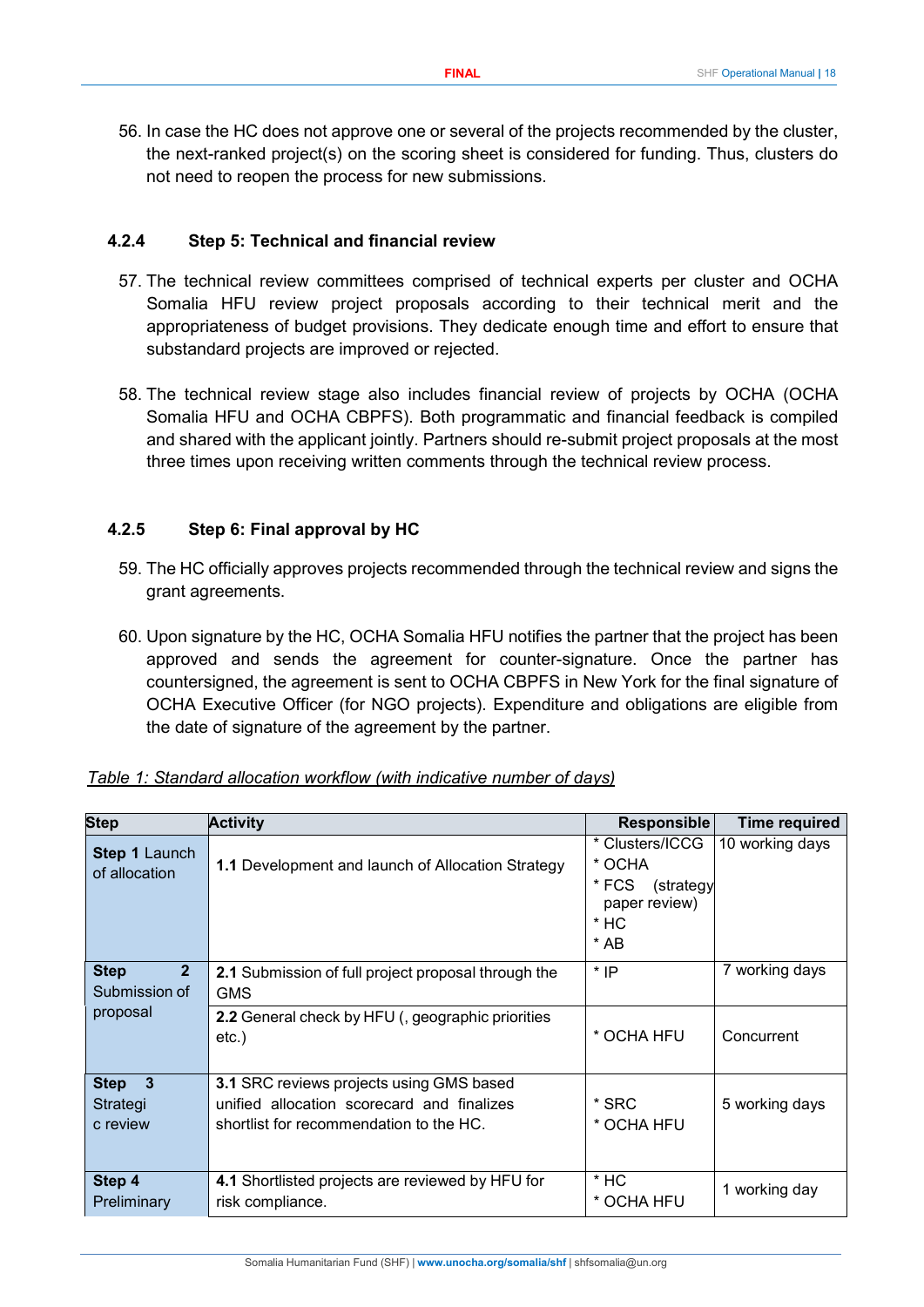56. In case the HC does not approve one or several of the projects recommended by the cluster, the next-ranked project(s) on the scoring sheet is considered for funding. Thus, clusters do not need to reopen the process for new submissions.

#### <span id="page-17-0"></span>**4.2.4 Step 5: Technical and financial review**

- 57. The technical review committees comprised of technical experts per cluster and OCHA Somalia HFU review project proposals according to their technical merit and the appropriateness of budget provisions. They dedicate enough time and effort to ensure that substandard projects are improved or rejected.
- 58. The technical review stage also includes financial review of projects by OCHA (OCHA Somalia HFU and OCHA CBPFS). Both programmatic and financial feedback is compiled and shared with the applicant jointly. Partners should re-submit project proposals at the most three times upon receiving written comments through the technical review process.

## <span id="page-17-1"></span>**4.2.5 Step 6: Final approval by HC**

- 59. The HC officially approves projects recommended through the technical review and signs the grant agreements.
- 60. Upon signature by the HC, OCHA Somalia HFU notifies the partner that the project has been approved and sends the agreement for counter-signature. Once the partner has countersigned, the agreement is sent to OCHA CBPFS in New York for the final signature of OCHA Executive Officer (for NGO projects). Expenditure and obligations are eligible from the date of signature of the agreement by the partner.

| <b>Step</b>                                  | <b>Activity</b>                                                                       | <b>Responsible</b>                                                                 | <b>Time required</b> |
|----------------------------------------------|---------------------------------------------------------------------------------------|------------------------------------------------------------------------------------|----------------------|
| <b>Step 1 Launch</b><br>of allocation        | 1.1 Development and launch of Allocation Strategy                                     | * Clusters/ICCG<br>* OCHA<br>* FCS<br>(strategy<br>paper review)<br>$*$ HC<br>* AB | 10 working days      |
| <b>Step</b><br>$\mathbf{2}$<br>Submission of | 2.1 Submission of full project proposal through the<br><b>GMS</b>                     | * IP                                                                               | 7 working days       |
| proposal                                     | <b>2.2</b> General check by HFU (, geographic priorities<br>$etc.$ )                  | * OCHA HFU                                                                         | Concurrent           |
| $\overline{\mathbf{3}}$<br><b>Step</b>       | 3.1 SRC reviews projects using GMS based                                              |                                                                                    |                      |
| Strategi<br>c review                         | unified allocation scorecard and finalizes<br>shortlist for recommendation to the HC. | * SRC<br>* OCHA HFU                                                                | 5 working days       |
| Step 4<br>Preliminary                        | 4.1 Shortlisted projects are reviewed by HFU for<br>risk compliance.                  | $*$ HC<br>* OCHA HFU                                                               | 1 working day        |

| Table 1: Standard allocation workflow (with indicative number of days) |  |  |  |  |
|------------------------------------------------------------------------|--|--|--|--|
|                                                                        |  |  |  |  |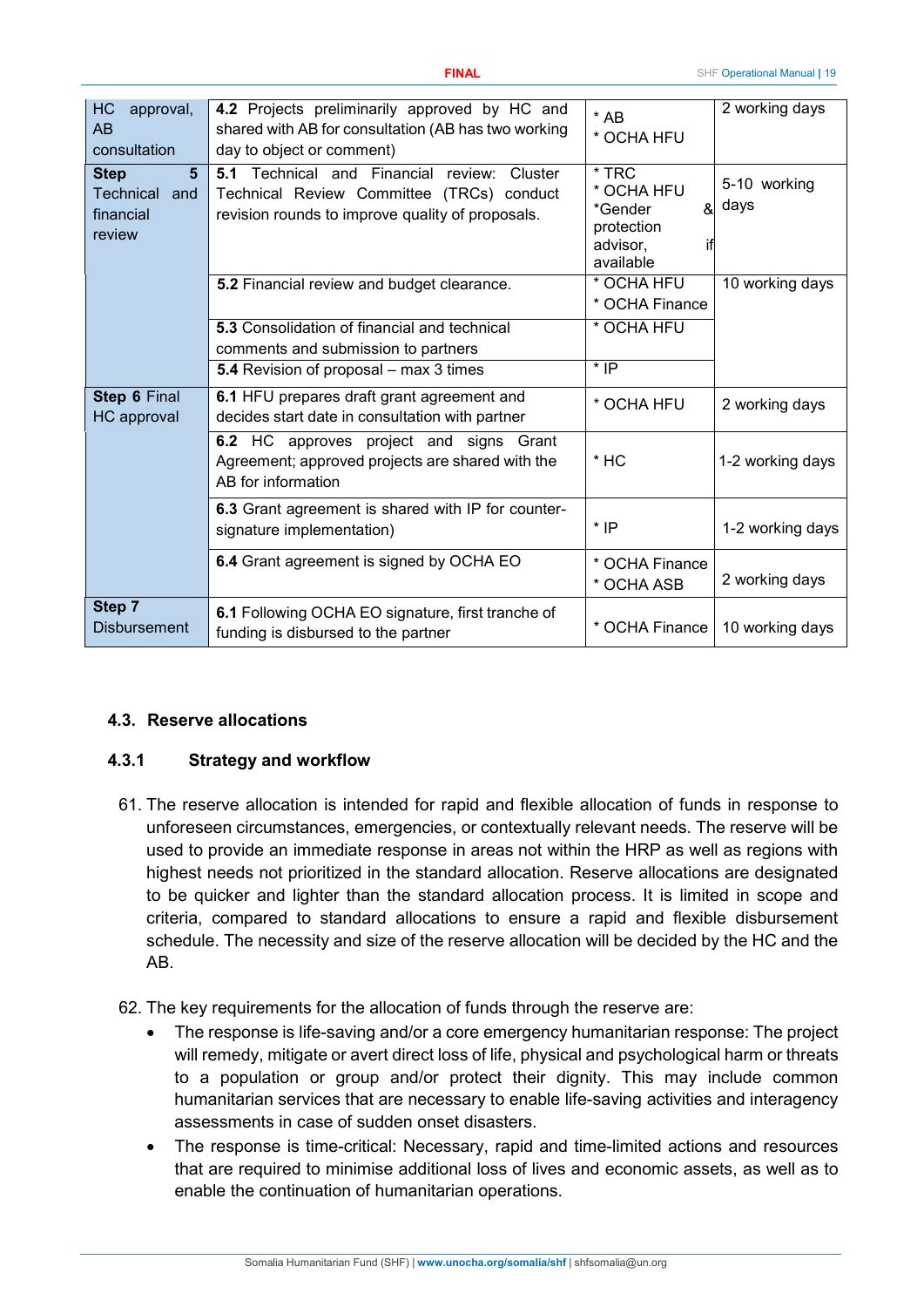| HC<br>approval,<br>AB<br>consultation                                    | 4.2 Projects preliminarily approved by HC and<br>shared with AB for consultation (AB has two working<br>day to object or comment)                        | $*$ AB<br>* OCHA HFU                                                                | 2 working days       |
|--------------------------------------------------------------------------|----------------------------------------------------------------------------------------------------------------------------------------------------------|-------------------------------------------------------------------------------------|----------------------|
| $5\phantom{1}$<br><b>Step</b><br>Technical<br>and<br>financial<br>review | Technical and<br>Financial<br>5.1<br>Cluster<br>review:<br>Technical Review Committee (TRCs) conduct<br>revision rounds to improve quality of proposals. | $*$ TRC<br>* OCHA HFU<br>ଝା<br>*Gender<br>protection<br>advisor.<br>if<br>available | 5-10 working<br>days |
|                                                                          | 5.2 Financial review and budget clearance.                                                                                                               | * OCHA HFU<br>* OCHA Finance                                                        | 10 working days      |
|                                                                          | 5.3 Consolidation of financial and technical<br>comments and submission to partners                                                                      | * OCHA HFU                                                                          |                      |
|                                                                          | 5.4 Revision of proposal – max 3 times                                                                                                                   | $*$ IP                                                                              |                      |
| <b>Step 6 Final</b><br><b>HC</b> approval                                | 6.1 HFU prepares draft grant agreement and<br>decides start date in consultation with partner                                                            | * OCHA HFU                                                                          | 2 working days       |
|                                                                          | 6.2 HC approves project and signs Grant<br>Agreement; approved projects are shared with the<br>AB for information                                        | $*$ HC                                                                              | 1-2 working days     |
|                                                                          | 6.3 Grant agreement is shared with IP for counter-<br>signature implementation)                                                                          | $*$ IP                                                                              | 1-2 working days     |
|                                                                          | 6.4 Grant agreement is signed by OCHA EO                                                                                                                 | * OCHA Finance<br>* OCHA ASB                                                        | 2 working days       |
| Step 7<br><b>Disbursement</b>                                            | 6.1 Following OCHA EO signature, first tranche of<br>funding is disbursed to the partner                                                                 | * OCHA Finance                                                                      | 10 working days      |

## <span id="page-18-0"></span>**4.3. Reserve allocations**

#### <span id="page-18-1"></span>**4.3.1 Strategy and workflow**

- 61. The reserve allocation is intended for rapid and flexible allocation of funds in response to unforeseen circumstances, emergencies, or contextually relevant needs. The reserve will be used to provide an immediate response in areas not within the HRP as well as regions with highest needs not prioritized in the standard allocation. Reserve allocations are designated to be quicker and lighter than the standard allocation process. It is limited in scope and criteria, compared to standard allocations to ensure a rapid and flexible disbursement schedule. The necessity and size of the reserve allocation will be decided by the HC and the AB.
- 62. The key requirements for the allocation of funds through the reserve are:
	- The response is life-saving and/or a core emergency humanitarian response: The project will remedy, mitigate or avert direct loss of life, physical and psychological harm or threats to a population or group and/or protect their dignity. This may include common humanitarian services that are necessary to enable life-saving activities and interagency assessments in case of sudden onset disasters.
	- The response is time-critical: Necessary, rapid and time-limited actions and resources that are required to minimise additional loss of lives and economic assets, as well as to enable the continuation of humanitarian operations.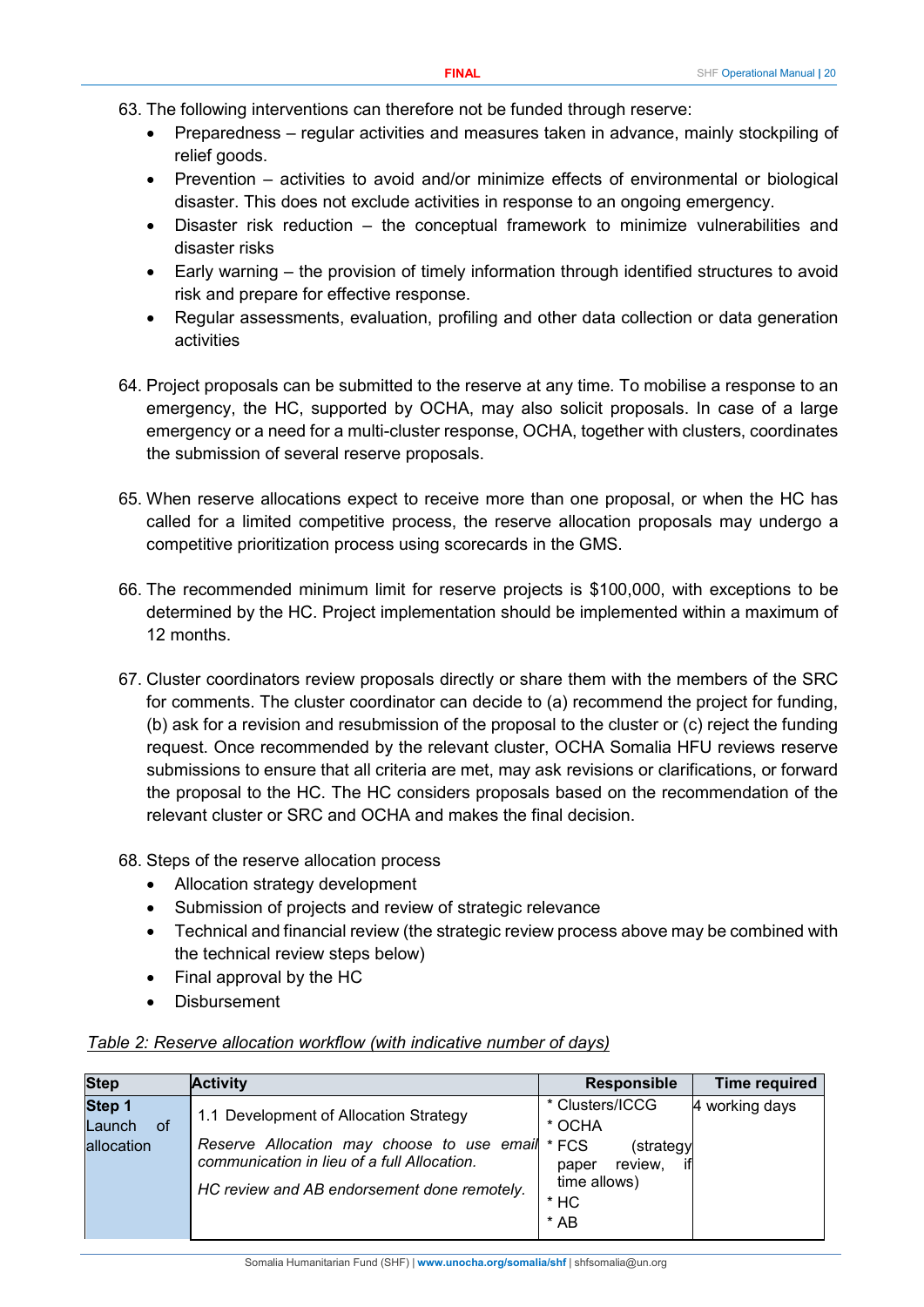- 63. The following interventions can therefore not be funded through reserve:
	- Preparedness regular activities and measures taken in advance, mainly stockpiling of relief goods.
	- Prevention activities to avoid and/or minimize effects of environmental or biological disaster. This does not exclude activities in response to an ongoing emergency.
	- Disaster risk reduction the conceptual framework to minimize vulnerabilities and disaster risks
	- Early warning the provision of timely information through identified structures to avoid risk and prepare for effective response.
	- Regular assessments, evaluation, profiling and other data collection or data generation activities
- 64. Project proposals can be submitted to the reserve at any time. To mobilise a response to an emergency, the HC, supported by OCHA, may also solicit proposals. In case of a large emergency or a need for a multi-cluster response, OCHA, together with clusters, coordinates the submission of several reserve proposals.
- 65. When reserve allocations expect to receive more than one proposal, or when the HC has called for a limited competitive process, the reserve allocation proposals may undergo a competitive prioritization process using scorecards in the GMS.
- 66. The recommended minimum limit for reserve projects is \$100,000, with exceptions to be determined by the HC. Project implementation should be implemented within a maximum of 12 months.
- 67. Cluster coordinators review proposals directly or share them with the members of the SRC for comments. The cluster coordinator can decide to (a) recommend the project for funding, (b) ask for a revision and resubmission of the proposal to the cluster or (c) reject the funding request. Once recommended by the relevant cluster, OCHA Somalia HFU reviews reserve submissions to ensure that all criteria are met, may ask revisions or clarifications, or forward the proposal to the HC. The HC considers proposals based on the recommendation of the relevant cluster or SRC and OCHA and makes the final decision.
- 68. Steps of the reserve allocation process
	- Allocation strategy development
	- Submission of projects and review of strategic relevance
	- Technical and financial review (the strategic review process above may be combined with the technical review steps below)
	- Final approval by the HC
	- **Disbursement**

|--|

| <b>Step</b>                          | <b>Activity</b>                                                                                                                                                                    | <b>Responsible</b>                                                                                      | Time required  |
|--------------------------------------|------------------------------------------------------------------------------------------------------------------------------------------------------------------------------------|---------------------------------------------------------------------------------------------------------|----------------|
| Step 1<br>Launch<br>0f<br>allocation | 1.1 Development of Allocation Strategy<br>Reserve Allocation may choose to use email<br>communication in lieu of a full Allocation.<br>HC review and AB endorsement done remotely. | * Clusters/ICCG<br>* OCHA<br>* FCS<br>(strategy<br>review,<br>paper<br>time allows)<br>$*$ HC<br>$*$ AB | 4 working days |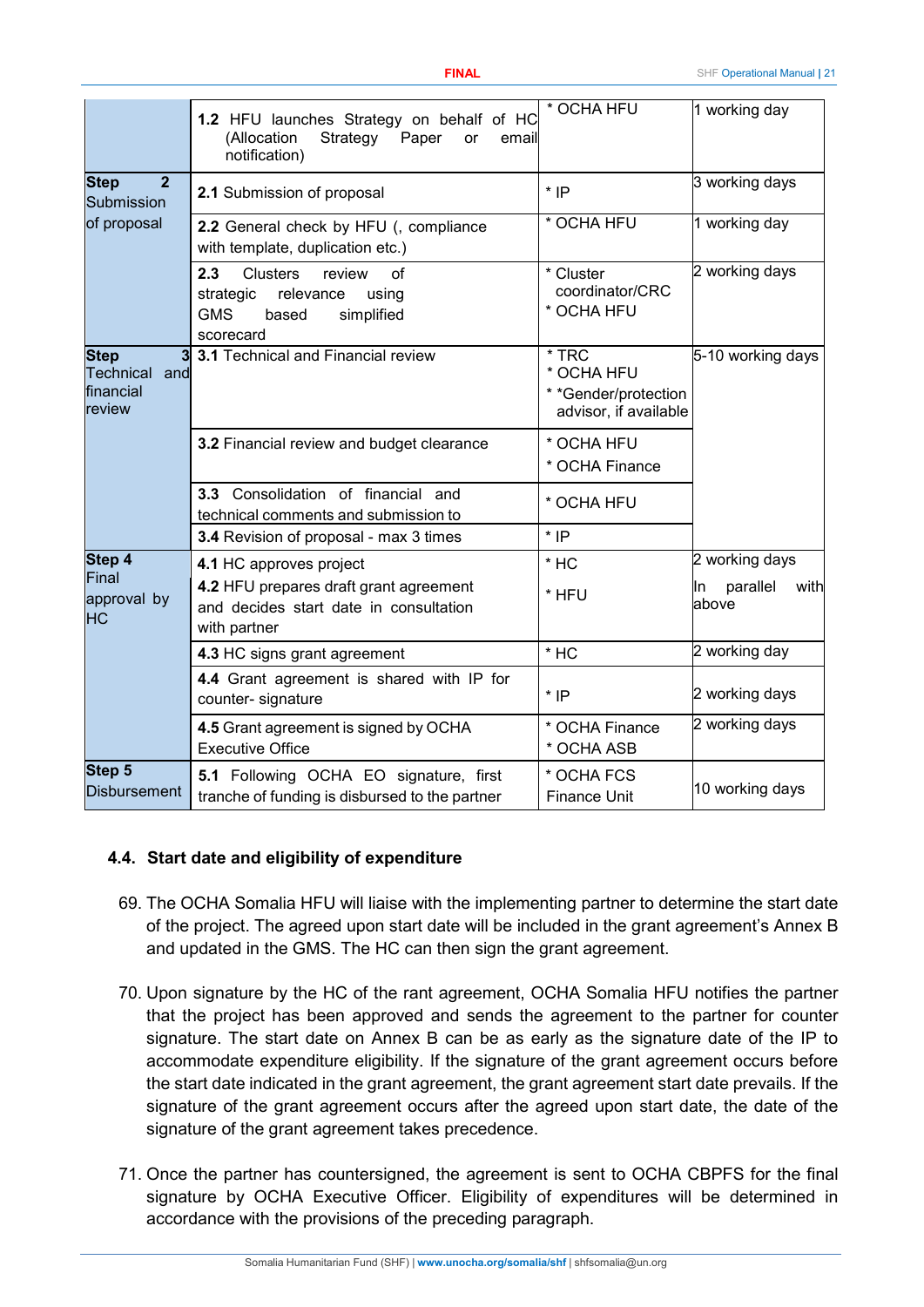|                                                          | 1.2 HFU launches Strategy on behalf of HC<br>(Allocation<br>Strategy<br>Paper<br>or<br>email<br>notification)               | * OCHA HFU                                                             | 1 working day                    |  |
|----------------------------------------------------------|-----------------------------------------------------------------------------------------------------------------------------|------------------------------------------------------------------------|----------------------------------|--|
| $\overline{2}$<br><b>Step</b><br>Submission              | 2.1 Submission of proposal                                                                                                  | $*$ IP                                                                 | 3 working days                   |  |
| of proposal                                              | 2.2 General check by HFU (, compliance<br>with template, duplication etc.)                                                  | * OCHA HFU                                                             | 1 working day                    |  |
|                                                          | 2.3<br><b>Clusters</b><br>of<br>review<br>relevance<br>strategic<br>using<br><b>GMS</b><br>simplified<br>based<br>scorecard | * Cluster<br>coordinator/CRC<br>* OCHA HFU                             | 2 working days                   |  |
| <b>Step</b><br>3<br>Technical and<br>financial<br>review | 3.1 Technical and Financial review                                                                                          | $*$ TRC<br>* OCHA HFU<br>* *Gender/protection<br>advisor, if available | 5-10 working days                |  |
|                                                          | 3.2 Financial review and budget clearance                                                                                   | * OCHA HFU<br>* OCHA Finance                                           |                                  |  |
|                                                          | 3.3 Consolidation of financial and<br>technical comments and submission to                                                  | * OCHA HFU                                                             |                                  |  |
|                                                          | 3.4 Revision of proposal - max 3 times                                                                                      | $*$ IP                                                                 |                                  |  |
| Step 4                                                   | 4.1 HC approves project                                                                                                     | $*$ HC                                                                 | 2 working days                   |  |
| Final<br>approval by<br><b>HC</b>                        | 4.2 HFU prepares draft grant agreement<br>and decides start date in consultation<br>with partner                            | * HFU                                                                  | parallel<br>with<br>ln.<br>above |  |
|                                                          | 4.3 HC signs grant agreement                                                                                                | $*$ HC                                                                 | 2 working day                    |  |
|                                                          | 4.4 Grant agreement is shared with IP for<br>counter- signature                                                             | $*$ IP                                                                 | 2 working days                   |  |
|                                                          | 4.5 Grant agreement is signed by OCHA<br><b>Executive Office</b>                                                            | * OCHA Finance<br>* OCHA ASB                                           | 2 working days                   |  |
| Step 5<br><b>Disbursement</b>                            | 5.1 Following OCHA EO signature, first<br>tranche of funding is disbursed to the partner                                    | * OCHA FCS<br><b>Finance Unit</b>                                      | 10 working days                  |  |

#### <span id="page-20-0"></span>**4.4. Start date and eligibility of expenditure**

- 69. The OCHA Somalia HFU will liaise with the implementing partner to determine the start date of the project. The agreed upon start date will be included in the grant agreement's Annex B and updated in the GMS. The HC can then sign the grant agreement.
- 70. Upon signature by the HC of the rant agreement, OCHA Somalia HFU notifies the partner that the project has been approved and sends the agreement to the partner for counter signature. The start date on Annex B can be as early as the signature date of the IP to accommodate expenditure eligibility. If the signature of the grant agreement occurs before the start date indicated in the grant agreement, the grant agreement start date prevails. If the signature of the grant agreement occurs after the agreed upon start date, the date of the signature of the grant agreement takes precedence.
- 71. Once the partner has countersigned, the agreement is sent to OCHA CBPFS for the final signature by OCHA Executive Officer. Eligibility of expenditures will be determined in accordance with the provisions of the preceding paragraph.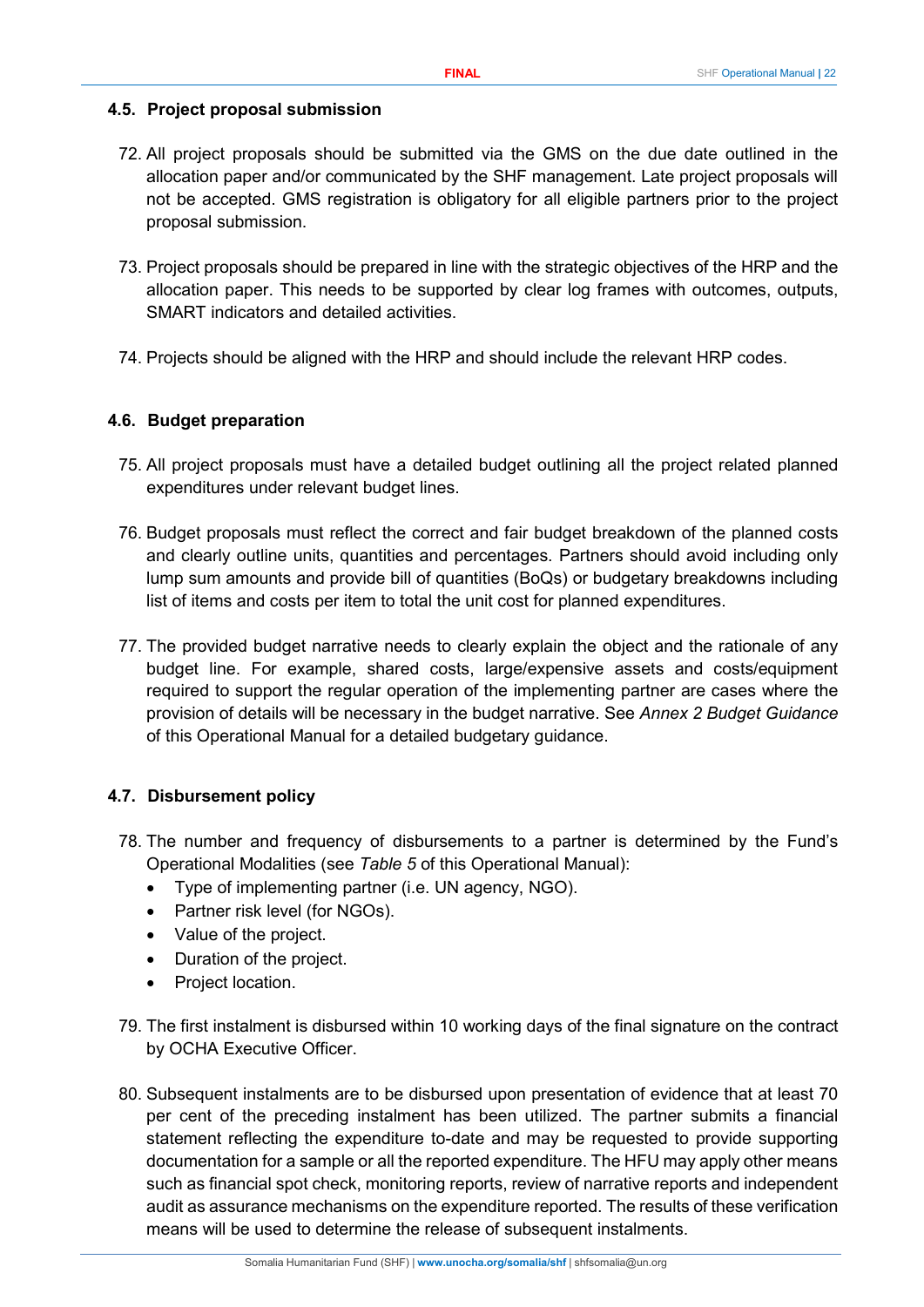#### <span id="page-21-0"></span>**4.5. Project proposal submission**

- 72. All project proposals should be submitted via the GMS on the due date outlined in the allocation paper and/or communicated by the SHF management. Late project proposals will not be accepted. GMS registration is obligatory for all eligible partners prior to the project proposal submission.
- 73. Project proposals should be prepared in line with the strategic objectives of the HRP and the allocation paper. This needs to be supported by clear log frames with outcomes, outputs, SMART indicators and detailed activities.
- 74. Projects should be aligned with the HRP and should include the relevant HRP codes.

#### <span id="page-21-1"></span>**4.6. Budget preparation**

- 75. All project proposals must have a detailed budget outlining all the project related planned expenditures under relevant budget lines.
- 76. Budget proposals must reflect the correct and fair budget breakdown of the planned costs and clearly outline units, quantities and percentages. Partners should avoid including only lump sum amounts and provide bill of quantities (BoQs) or budgetary breakdowns including list of items and costs per item to total the unit cost for planned expenditures.
- 77. The provided budget narrative needs to clearly explain the object and the rationale of any budget line. For example, shared costs, large/expensive assets and costs/equipment required to support the regular operation of the implementing partner are cases where the provision of details will be necessary in the budget narrative. See *Annex 2 Budget Guidance* of this Operational Manual for a detailed budgetary guidance.

#### <span id="page-21-2"></span>**4.7. Disbursement policy**

- 78. The number and frequency of disbursements to a partner is determined by the Fund's Operational Modalities (see *Table 5* of this Operational Manual):
	- Type of implementing partner (i.e. UN agency, NGO).
	- Partner risk level (for NGOs).
	- Value of the project.
	- Duration of the project.
	- Project location.
- 79. The first instalment is disbursed within 10 working days of the final signature on the contract by OCHA Executive Officer.
- 80. Subsequent instalments are to be disbursed upon presentation of evidence that at least 70 per cent of the preceding instalment has been utilized. The partner submits a financial statement reflecting the expenditure to-date and may be requested to provide supporting documentation for a sample or all the reported expenditure. The HFU may apply other means such as financial spot check, monitoring reports, review of narrative reports and independent audit as assurance mechanisms on the expenditure reported. The results of these verification means will be used to determine the release of subsequent instalments.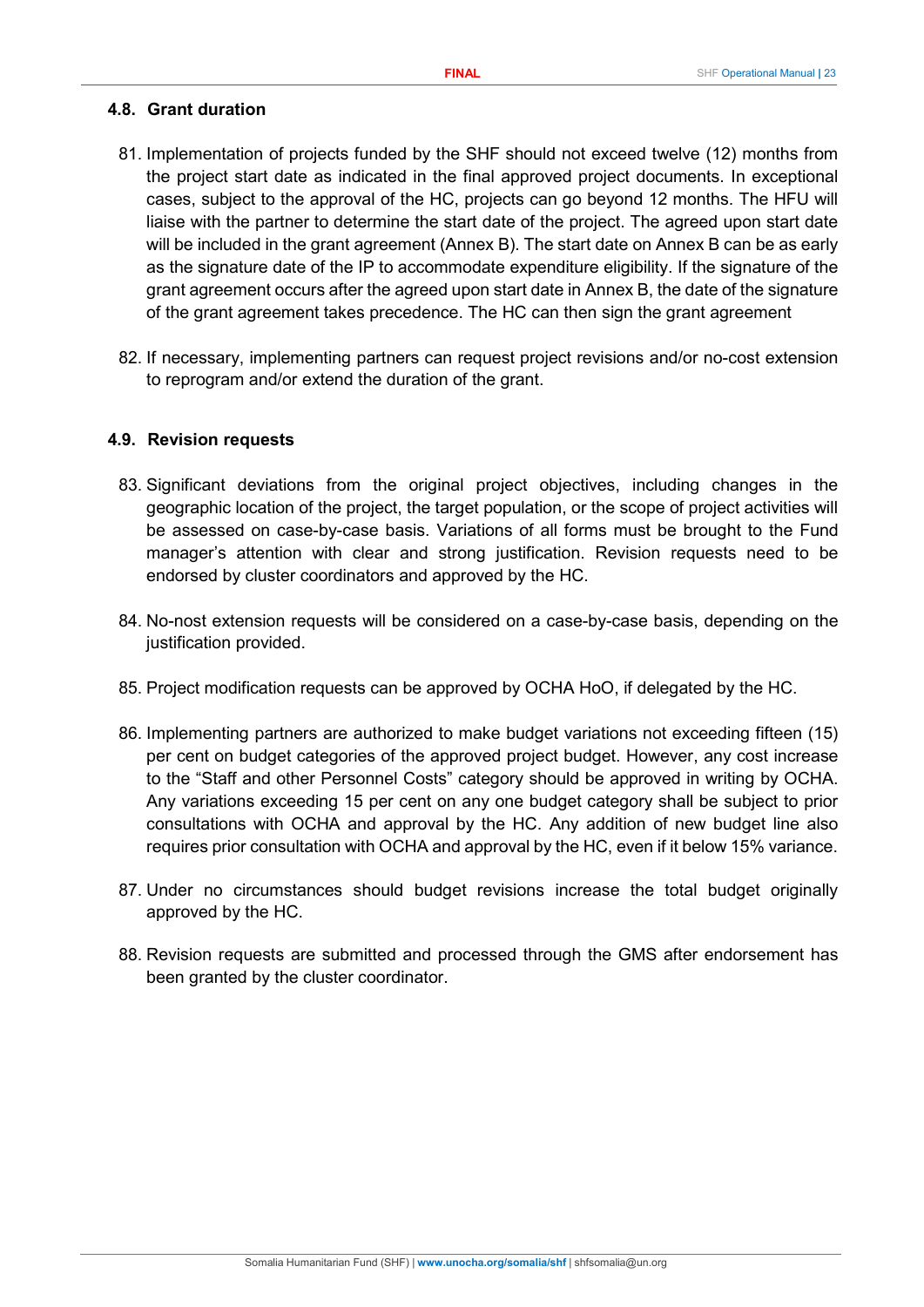#### <span id="page-22-0"></span>**4.8. Grant duration**

- 81. Implementation of projects funded by the SHF should not exceed twelve (12) months from the project start date as indicated in the final approved project documents. In exceptional cases, subject to the approval of the HC, projects can go beyond 12 months. The HFU will liaise with the partner to determine the start date of the project. The agreed upon start date will be included in the grant agreement (Annex B). The start date on Annex B can be as early as the signature date of the IP to accommodate expenditure eligibility. If the signature of the grant agreement occurs after the agreed upon start date in Annex B, the date of the signature of the grant agreement takes precedence. The HC can then sign the grant agreement
- 82. If necessary, implementing partners can request project revisions and/or no-cost extension to reprogram and/or extend the duration of the grant.

## <span id="page-22-1"></span>**4.9. Revision requests**

- 83. Significant deviations from the original project objectives, including changes in the geographic location of the project, the target population, or the scope of project activities will be assessed on case-by-case basis. Variations of all forms must be brought to the Fund manager's attention with clear and strong justification. Revision requests need to be endorsed by cluster coordinators and approved by the HC.
- 84. No-nost extension requests will be considered on a case-by-case basis, depending on the justification provided.
- 85. Project modification requests can be approved by OCHA HoO, if delegated by the HC.
- 86. Implementing partners are authorized to make budget variations not exceeding fifteen (15) per cent on budget categories of the approved project budget. However, any cost increase to the "Staff and other Personnel Costs" category should be approved in writing by OCHA. Any variations exceeding 15 per cent on any one budget category shall be subject to prior consultations with OCHA and approval by the HC. Any addition of new budget line also requires prior consultation with OCHA and approval by the HC, even if it below 15% variance.
- 87. Under no circumstances should budget revisions increase the total budget originally approved by the HC.
- 88. Revision requests are submitted and processed through the GMS after endorsement has been granted by the cluster coordinator.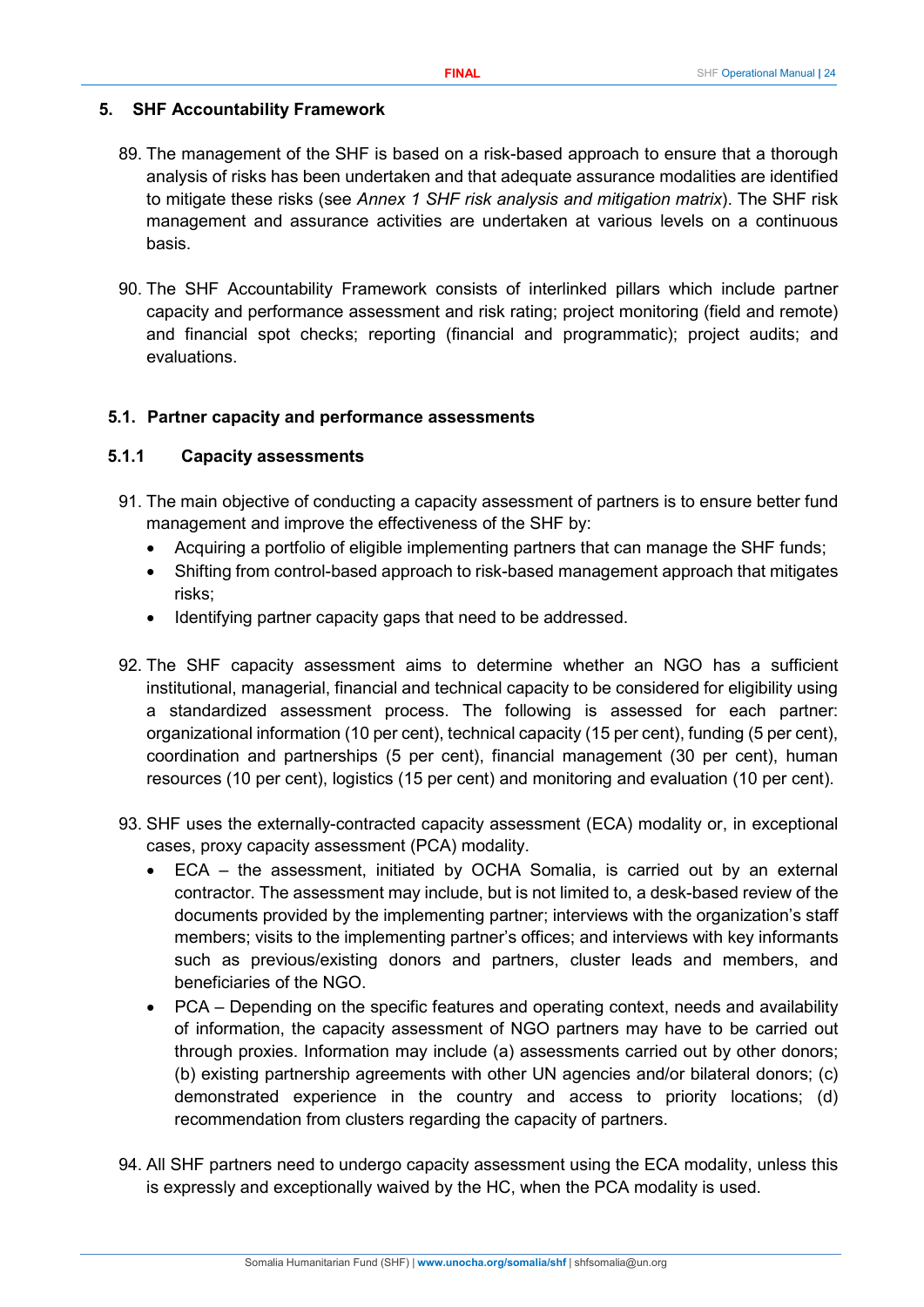#### <span id="page-23-0"></span>**5. SHF Accountability Framework**

- 89. The management of the SHF is based on a risk-based approach to ensure that a thorough analysis of risks has been undertaken and that adequate assurance modalities are identified to mitigate these risks (see *Annex 1 SHF risk analysis and mitigation matrix*). The SHF risk management and assurance activities are undertaken at various levels on a continuous basis.
- 90. The SHF Accountability Framework consists of interlinked pillars which include partner capacity and performance assessment and risk rating; project monitoring (field and remote) and financial spot checks; reporting (financial and programmatic); project audits; and evaluations.

#### <span id="page-23-1"></span>**5.1. Partner capacity and performance assessments**

#### <span id="page-23-2"></span>**5.1.1 Capacity assessments**

- 91. The main objective of conducting a capacity assessment of partners is to ensure better fund management and improve the effectiveness of the SHF by:
	- Acquiring a portfolio of eligible implementing partners that can manage the SHF funds;
	- Shifting from control-based approach to risk-based management approach that mitigates risks;
	- Identifying partner capacity gaps that need to be addressed.
- 92. The SHF capacity assessment aims to determine whether an NGO has a sufficient institutional, managerial, financial and technical capacity to be considered for eligibility using a standardized assessment process. The following is assessed for each partner: organizational information (10 per cent), technical capacity (15 per cent), funding (5 per cent), coordination and partnerships (5 per cent), financial management (30 per cent), human resources (10 per cent), logistics (15 per cent) and monitoring and evaluation (10 per cent).
- 93. SHF uses the externally-contracted capacity assessment (ECA) modality or, in exceptional cases, proxy capacity assessment (PCA) modality.
	- ECA the assessment, initiated by OCHA Somalia, is carried out by an external contractor. The assessment may include, but is not limited to, a desk-based review of the documents provided by the implementing partner; interviews with the organization's staff members; visits to the implementing partner's offices; and interviews with key informants such as previous/existing donors and partners, cluster leads and members, and beneficiaries of the NGO.
	- PCA Depending on the specific features and operating context, needs and availability of information, the capacity assessment of NGO partners may have to be carried out through proxies. Information may include (a) assessments carried out by other donors; (b) existing partnership agreements with other UN agencies and/or bilateral donors; (c) demonstrated experience in the country and access to priority locations; (d) recommendation from clusters regarding the capacity of partners.
- 94. All SHF partners need to undergo capacity assessment using the ECA modality, unless this is expressly and exceptionally waived by the HC, when the PCA modality is used.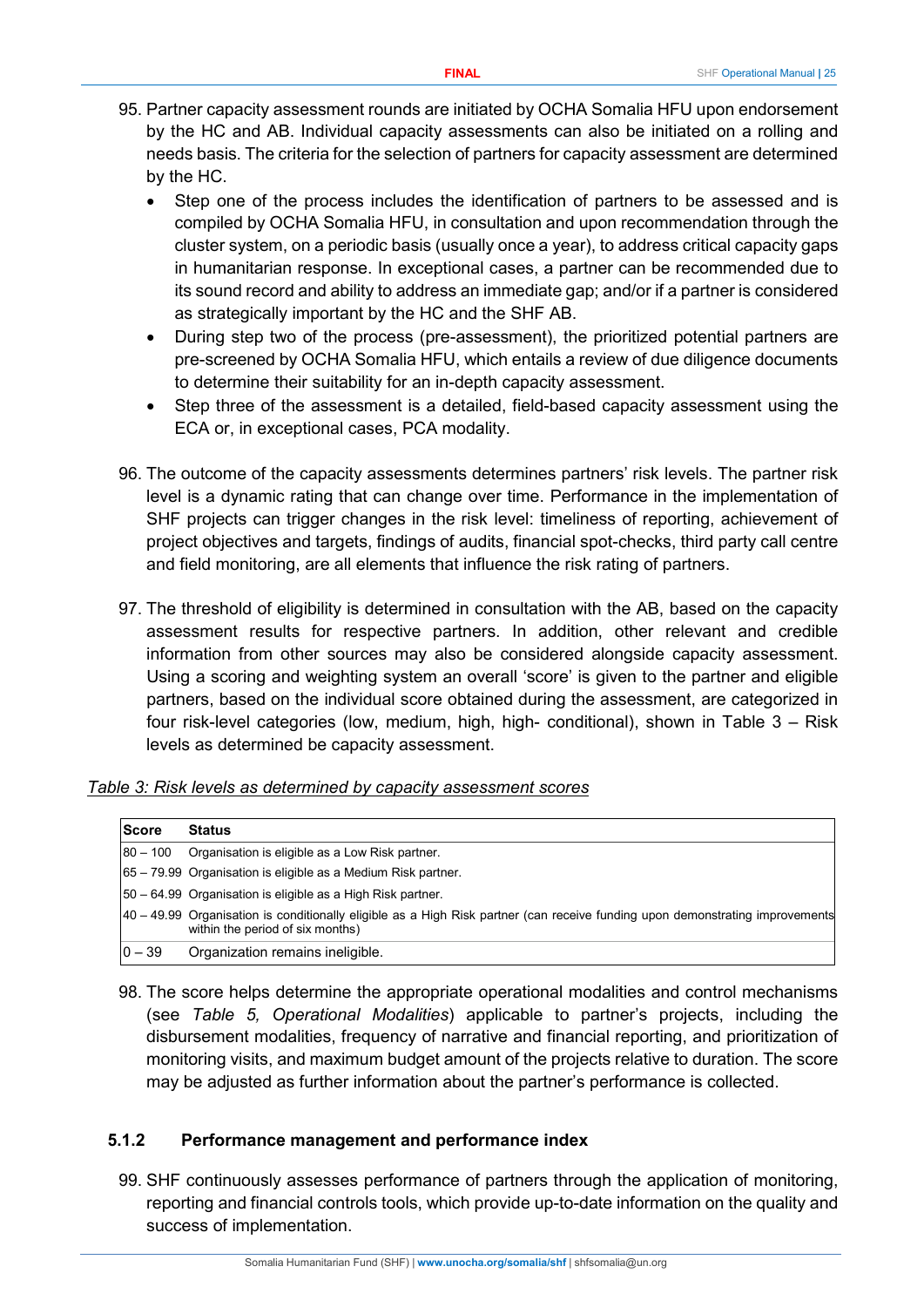- 95. Partner capacity assessment rounds are initiated by OCHA Somalia HFU upon endorsement by the HC and AB. Individual capacity assessments can also be initiated on a rolling and needs basis. The criteria for the selection of partners for capacity assessment are determined by the HC.
	- Step one of the process includes the identification of partners to be assessed and is compiled by OCHA Somalia HFU, in consultation and upon recommendation through the cluster system, on a periodic basis (usually once a year), to address critical capacity gaps in humanitarian response. In exceptional cases, a partner can be recommended due to its sound record and ability to address an immediate gap; and/or if a partner is considered as strategically important by the HC and the SHF AB.
	- During step two of the process (pre-assessment), the prioritized potential partners are pre-screened by OCHA Somalia HFU, which entails a review of due diligence documents to determine their suitability for an in-depth capacity assessment.
	- Step three of the assessment is a detailed, field-based capacity assessment using the ECA or, in exceptional cases, PCA modality.
- 96. The outcome of the capacity assessments determines partners' risk levels. The partner risk level is a dynamic rating that can change over time. Performance in the implementation of SHF projects can trigger changes in the risk level: timeliness of reporting, achievement of project objectives and targets, findings of audits, financial spot-checks, third party call centre and field monitoring, are all elements that influence the risk rating of partners.
- 97. The threshold of eligibility is determined in consultation with the AB, based on the capacity assessment results for respective partners. In addition, other relevant and credible information from other sources may also be considered alongside capacity assessment. Using a scoring and weighting system an overall 'score' is given to the partner and eligible partners, based on the individual score obtained during the assessment, are categorized in four risk-level categories (low, medium, high, high- conditional), shown in Table 3 – Risk levels as determined be capacity assessment.

#### *Table 3: Risk levels as determined by capacity assessment scores*

| <b>Score</b> | <b>Status</b>                                                                                                                                                     |
|--------------|-------------------------------------------------------------------------------------------------------------------------------------------------------------------|
| $80 - 100$   | Organisation is eligible as a Low Risk partner.                                                                                                                   |
|              | 165 – 79.99 Organisation is eligible as a Medium Risk partner.                                                                                                    |
|              | [50 – 64.99 Organisation is eligible as a High Risk partner.                                                                                                      |
|              | 40 – 49.99 Organisation is conditionally eligible as a High Risk partner (can receive funding upon demonstrating improvements<br>within the period of six months) |
| $ 0 - 39 $   | Organization remains ineligible.                                                                                                                                  |

98. The score helps determine the appropriate operational modalities and control mechanisms (see *Table 5, Operational Modalities*) applicable to partner's projects, including the disbursement modalities, frequency of narrative and financial reporting, and prioritization of monitoring visits, and maximum budget amount of the projects relative to duration. The score may be adjusted as further information about the partner's performance is collected.

#### <span id="page-24-0"></span>**5.1.2 Performance management and performance index**

99. SHF continuously assesses performance of partners through the application of monitoring, reporting and financial controls tools, which provide up-to-date information on the quality and success of implementation.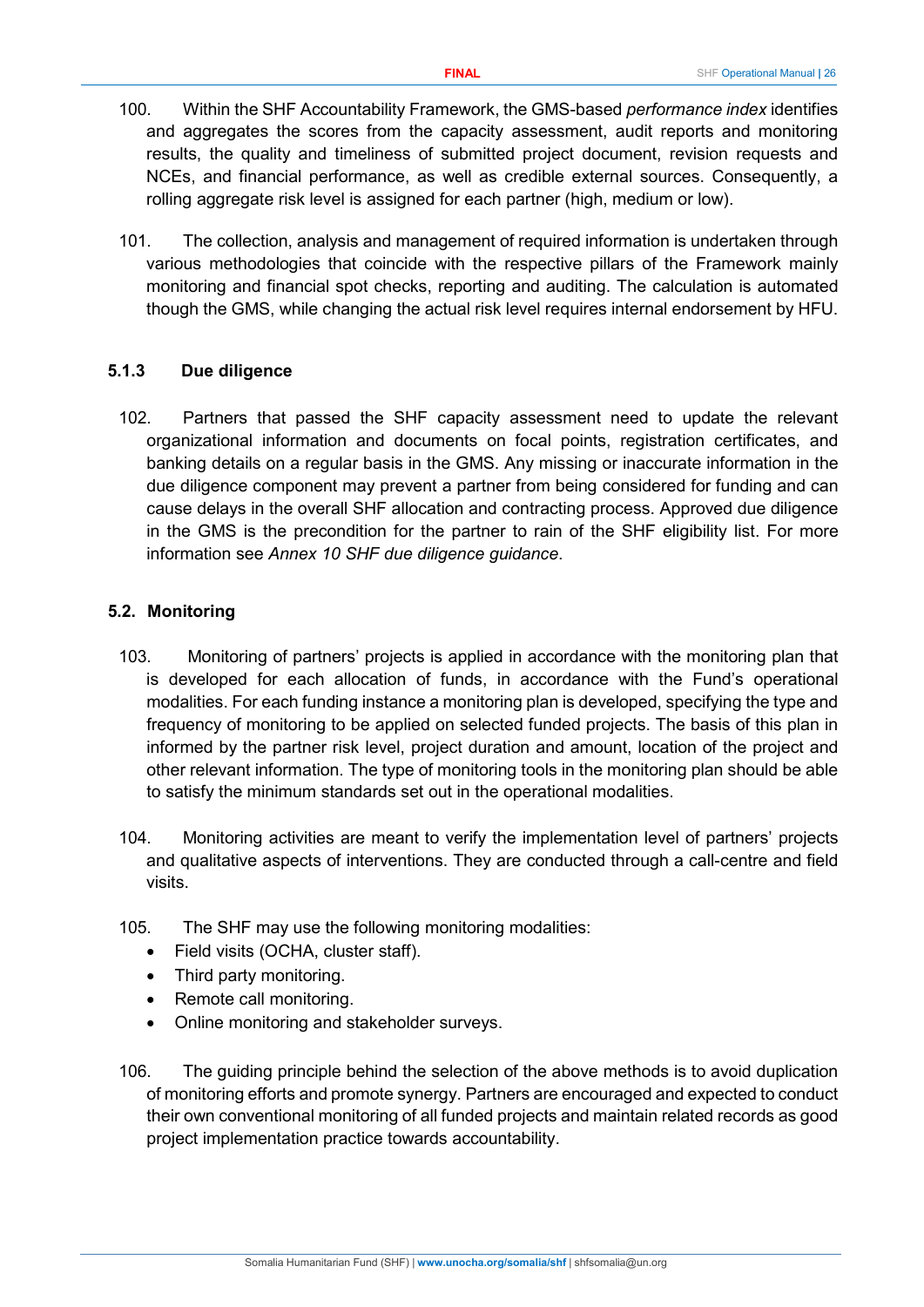- 100. Within the SHF Accountability Framework, the GMS-based *performance index* identifies and aggregates the scores from the capacity assessment, audit reports and monitoring results, the quality and timeliness of submitted project document, revision requests and NCEs, and financial performance, as well as credible external sources. Consequently, a rolling aggregate risk level is assigned for each partner (high, medium or low).
- 101. The collection, analysis and management of required information is undertaken through various methodologies that coincide with the respective pillars of the Framework mainly monitoring and financial spot checks, reporting and auditing. The calculation is automated though the GMS, while changing the actual risk level requires internal endorsement by HFU.

## <span id="page-25-0"></span>**5.1.3 Due diligence**

102. Partners that passed the SHF capacity assessment need to update the relevant organizational information and documents on focal points, registration certificates, and banking details on a regular basis in the GMS. Any missing or inaccurate information in the due diligence component may prevent a partner from being considered for funding and can cause delays in the overall SHF allocation and contracting process. Approved due diligence in the GMS is the precondition for the partner to rain of the SHF eligibility list. For more information see *Annex 10 SHF due diligence guidance*.

## <span id="page-25-1"></span>**5.2. Monitoring**

- 103. Monitoring of partners' projects is applied in accordance with the monitoring plan that is developed for each allocation of funds, in accordance with the Fund's operational modalities. For each funding instance a monitoring plan is developed, specifying the type and frequency of monitoring to be applied on selected funded projects. The basis of this plan in informed by the partner risk level, project duration and amount, location of the project and other relevant information. The type of monitoring tools in the monitoring plan should be able to satisfy the minimum standards set out in the operational modalities.
- 104. Monitoring activities are meant to verify the implementation level of partners' projects and qualitative aspects of interventions. They are conducted through a call-centre and field visits.
- 105. The SHF may use the following monitoring modalities:
	- Field visits (OCHA, cluster staff).
	- Third party monitoring.
	- Remote call monitoring.
	- Online monitoring and stakeholder surveys.
- 106. The guiding principle behind the selection of the above methods is to avoid duplication of monitoring efforts and promote synergy. Partners are encouraged and expected to conduct their own conventional monitoring of all funded projects and maintain related records as good project implementation practice towards accountability.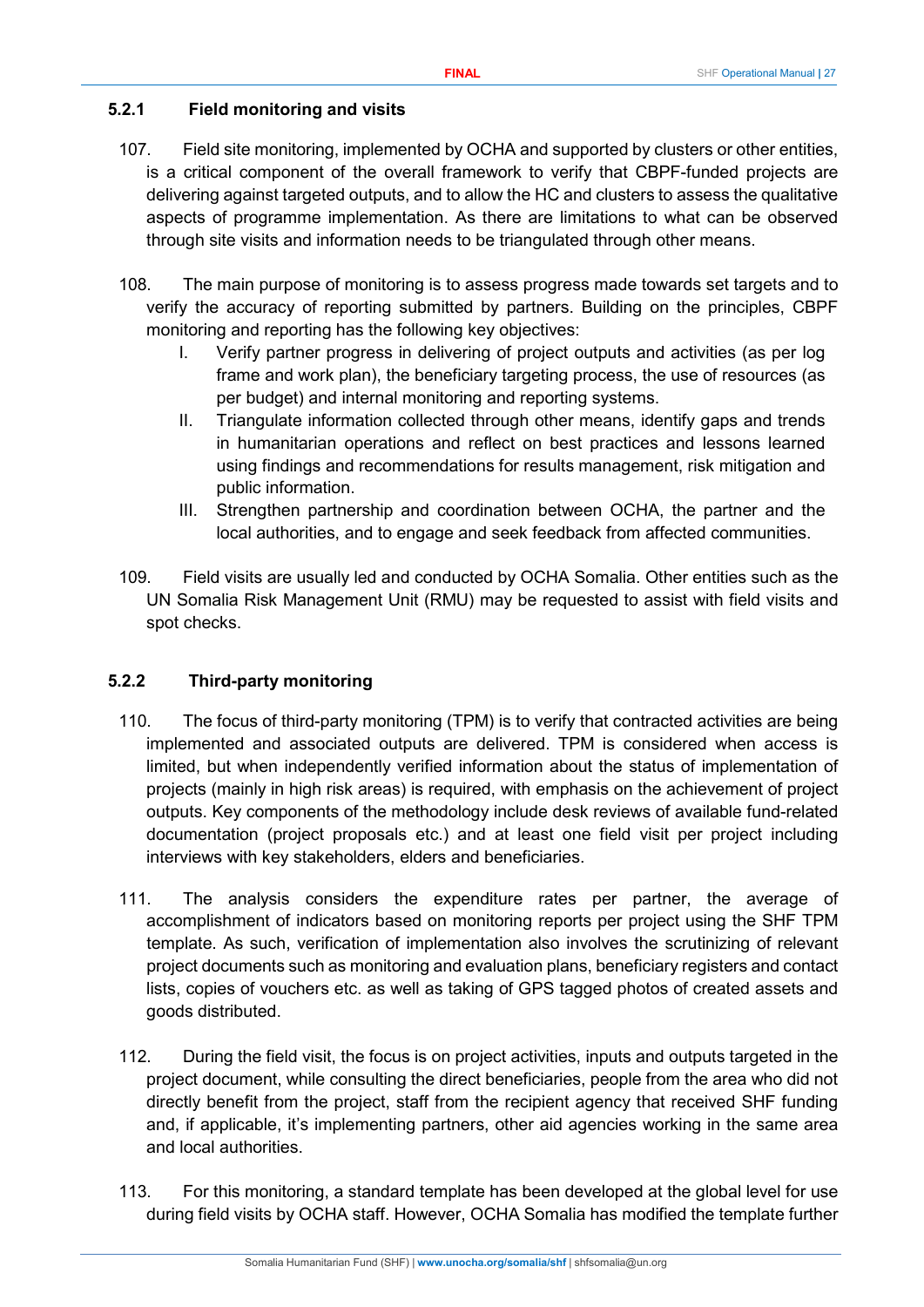## <span id="page-26-0"></span>**5.2.1 Field monitoring and visits**

- 107. Field site monitoring, implemented by OCHA and supported by clusters or other entities, is a critical component of the overall framework to verify that CBPF-funded projects are delivering against targeted outputs, and to allow the HC and clusters to assess the qualitative aspects of programme implementation. As there are limitations to what can be observed through site visits and information needs to be triangulated through other means.
- 108. The main purpose of monitoring is to assess progress made towards set targets and to verify the accuracy of reporting submitted by partners. Building on the principles, CBPF monitoring and reporting has the following key objectives:
	- I. Verify partner progress in delivering of project outputs and activities (as per log frame and work plan), the beneficiary targeting process, the use of resources (as per budget) and internal monitoring and reporting systems.
	- II. Triangulate information collected through other means, identify gaps and trends in humanitarian operations and reflect on best practices and lessons learned using findings and recommendations for results management, risk mitigation and public information.
	- III. Strengthen partnership and coordination between OCHA, the partner and the local authorities, and to engage and seek feedback from affected communities.
- 109. Field visits are usually led and conducted by OCHA Somalia. Other entities such as the UN Somalia Risk Management Unit (RMU) may be requested to assist with field visits and spot checks.

## <span id="page-26-1"></span>**5.2.2 Third-party monitoring**

- 110. The focus of third-party monitoring (TPM) is to verify that contracted activities are being implemented and associated outputs are delivered. TPM is considered when access is limited, but when independently verified information about the status of implementation of projects (mainly in high risk areas) is required, with emphasis on the achievement of project outputs. Key components of the methodology include desk reviews of available fund-related documentation (project proposals etc.) and at least one field visit per project including interviews with key stakeholders, elders and beneficiaries.
- 111. The analysis considers the expenditure rates per partner, the average of accomplishment of indicators based on monitoring reports per project using the SHF TPM template. As such, verification of implementation also involves the scrutinizing of relevant project documents such as monitoring and evaluation plans, beneficiary registers and contact lists, copies of vouchers etc. as well as taking of GPS tagged photos of created assets and goods distributed.
- 112. During the field visit, the focus is on project activities, inputs and outputs targeted in the project document, while consulting the direct beneficiaries, people from the area who did not directly benefit from the project, staff from the recipient agency that received SHF funding and, if applicable, it's implementing partners, other aid agencies working in the same area and local authorities.
- 113. For this monitoring, a standard template has been developed at the global level for use during field visits by OCHA staff. However, OCHA Somalia has modified the template further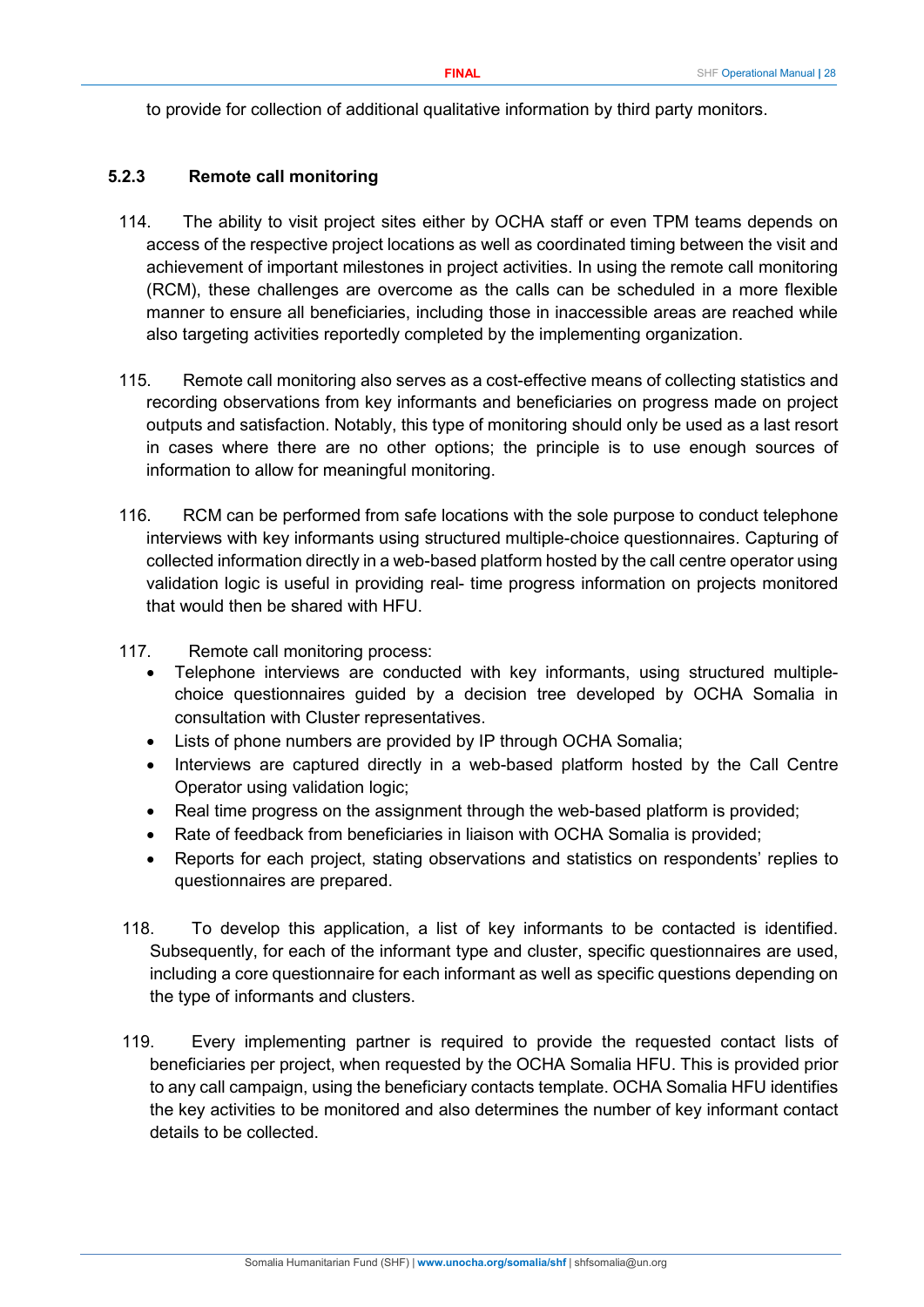to provide for collection of additional qualitative information by third party monitors.

#### <span id="page-27-0"></span>**5.2.3 Remote call monitoring**

- 114. The ability to visit project sites either by OCHA staff or even TPM teams depends on access of the respective project locations as well as coordinated timing between the visit and achievement of important milestones in project activities. In using the remote call monitoring (RCM), these challenges are overcome as the calls can be scheduled in a more flexible manner to ensure all beneficiaries, including those in inaccessible areas are reached while also targeting activities reportedly completed by the implementing organization.
- 115. Remote call monitoring also serves as a cost-effective means of collecting statistics and recording observations from key informants and beneficiaries on progress made on project outputs and satisfaction. Notably, this type of monitoring should only be used as a last resort in cases where there are no other options; the principle is to use enough sources of information to allow for meaningful monitoring.
- 116. RCM can be performed from safe locations with the sole purpose to conduct telephone interviews with key informants using structured multiple-choice questionnaires. Capturing of collected information directly in a web-based platform hosted by the call centre operator using validation logic is useful in providing real- time progress information on projects monitored that would then be shared with HFU.
- 117. Remote call monitoring process:
	- Telephone interviews are conducted with key informants, using structured multiplechoice questionnaires guided by a decision tree developed by OCHA Somalia in consultation with Cluster representatives.
	- Lists of phone numbers are provided by IP through OCHA Somalia;
	- Interviews are captured directly in a web-based platform hosted by the Call Centre Operator using validation logic;
	- Real time progress on the assignment through the web-based platform is provided;
	- Rate of feedback from beneficiaries in liaison with OCHA Somalia is provided;
	- Reports for each project, stating observations and statistics on respondents' replies to questionnaires are prepared.
- 118. To develop this application, a list of key informants to be contacted is identified. Subsequently, for each of the informant type and cluster, specific questionnaires are used, including a core questionnaire for each informant as well as specific questions depending on the type of informants and clusters.
- 119. Every implementing partner is required to provide the requested contact lists of beneficiaries per project, when requested by the OCHA Somalia HFU. This is provided prior to any call campaign, using the beneficiary contacts template. OCHA Somalia HFU identifies the key activities to be monitored and also determines the number of key informant contact details to be collected.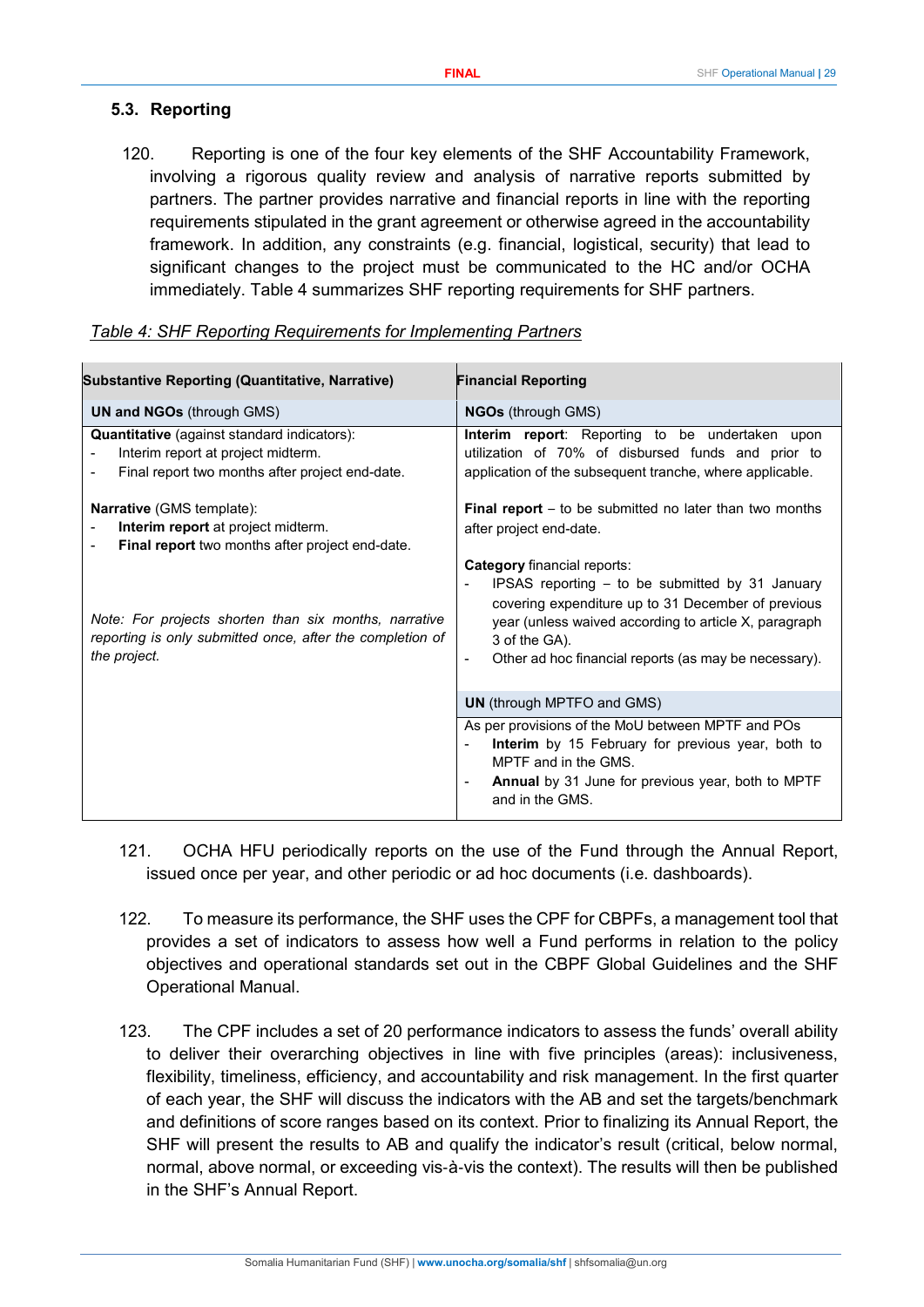## <span id="page-28-0"></span>**5.3. Reporting**

120. Reporting is one of the four key elements of the SHF Accountability Framework, involving a rigorous quality review and analysis of narrative reports submitted by partners. The partner provides narrative and financial reports in line with the reporting requirements stipulated in the grant agreement or otherwise agreed in the accountability framework. In addition, any constraints (e.g. financial, logistical, security) that lead to significant changes to the project must be communicated to the HC and/or OCHA immediately. Table 4 summarizes SHF reporting requirements for SHF partners.

| <b>Substantive Reporting (Quantitative, Narrative)</b>                                                                                      | <b>Financial Reporting</b>                                                                                                                                                                                                                                                                          |
|---------------------------------------------------------------------------------------------------------------------------------------------|-----------------------------------------------------------------------------------------------------------------------------------------------------------------------------------------------------------------------------------------------------------------------------------------------------|
| <b>UN and NGOs (through GMS)</b>                                                                                                            | <b>NGOs</b> (through GMS)                                                                                                                                                                                                                                                                           |
| <b>Quantitative</b> (against standard indicators):<br>Interim report at project midterm.<br>Final report two months after project end-date. | Interim report: Reporting to be undertaken upon<br>utilization of 70% of disbursed funds and prior to<br>application of the subsequent tranche, where applicable.                                                                                                                                   |
| <b>Narrative</b> (GMS template):<br><b>Interim report</b> at project midterm.<br>Final report two months after project end-date.            | <b>Final report</b> – to be submitted no later than two months<br>after project end-date.                                                                                                                                                                                                           |
| Note: For projects shorten than six months, narrative<br>reporting is only submitted once, after the completion of<br>the project.          | Category financial reports:<br>IPSAS reporting - to be submitted by 31 January<br>covering expenditure up to 31 December of previous<br>year (unless waived according to article X, paragraph<br>3 of the GA).<br>Other ad hoc financial reports (as may be necessary).<br>$\overline{\phantom{a}}$ |
|                                                                                                                                             | <b>UN</b> (through MPTFO and GMS)                                                                                                                                                                                                                                                                   |
|                                                                                                                                             | As per provisions of the MoU between MPTF and POs<br>Interim by 15 February for previous year, both to<br>$\overline{\phantom{a}}$<br>MPTF and in the GMS.<br><b>Annual</b> by 31 June for previous year, both to MPTF<br>and in the GMS.                                                           |

#### *Table 4: SHF Reporting Requirements for Implementing Partners*

- 121. OCHA HFU periodically reports on the use of the Fund through the Annual Report, issued once per year, and other periodic or ad hoc documents (i.e. dashboards).
- 122. To measure its performance, the SHF uses the CPF for CBPFs, a management tool that provides a set of indicators to assess how well a Fund performs in relation to the policy objectives and operational standards set out in the CBPF Global Guidelines and the SHF Operational Manual.
- 123. The CPF includes a set of 20 performance indicators to assess the funds' overall ability to deliver their overarching objectives in line with five principles (areas): inclusiveness, flexibility, timeliness, efficiency, and accountability and risk management. In the first quarter of each year, the SHF will discuss the indicators with the AB and set the targets/benchmark and definitions of score ranges based on its context. Prior to finalizing its Annual Report, the SHF will present the results to AB and qualify the indicator's result (critical, below normal, normal, above normal, or exceeding vis‐à‐vis the context). The results will then be published in the SHF's Annual Report.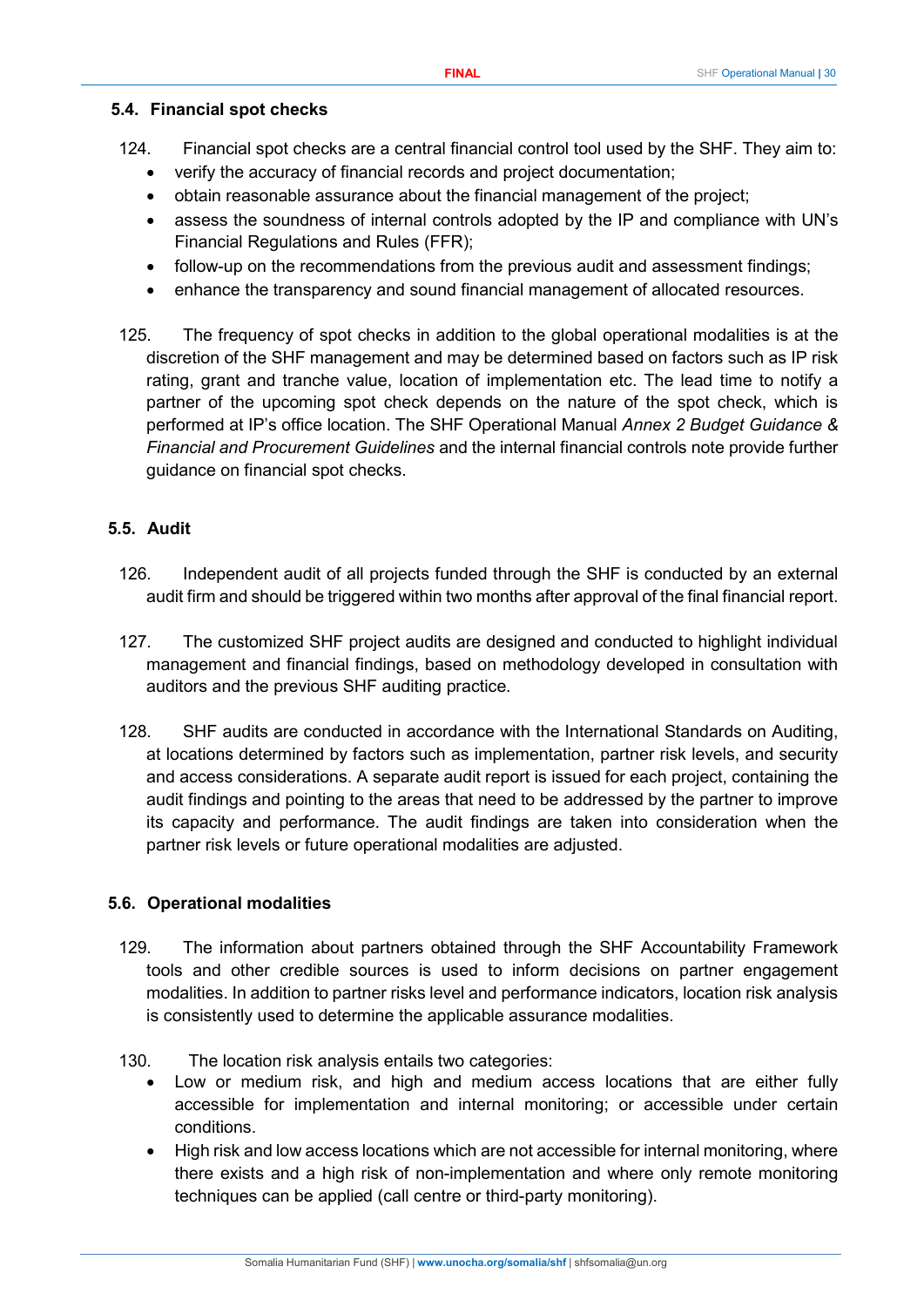#### <span id="page-29-0"></span>**5.4. Financial spot checks**

- 124. Financial spot checks are a central financial control tool used by the SHF. They aim to:
	- verify the accuracy of financial records and project documentation;
	- obtain reasonable assurance about the financial management of the project;
	- assess the soundness of internal controls adopted by the IP and compliance with UN's Financial Regulations and Rules (FFR);
	- follow-up on the recommendations from the previous audit and assessment findings;
	- enhance the transparency and sound financial management of allocated resources.
- 125. The frequency of spot checks in addition to the global operational modalities is at the discretion of the SHF management and may be determined based on factors such as IP risk rating, grant and tranche value, location of implementation etc. The lead time to notify a partner of the upcoming spot check depends on the nature of the spot check, which is performed at IP's office location. The SHF Operational Manual *Annex 2 Budget Guidance & Financial and Procurement Guidelines* and the internal financial controls note provide further guidance on financial spot checks.

#### <span id="page-29-1"></span>**5.5. Audit**

- 126. Independent audit of all projects funded through the SHF is conducted by an external audit firm and should be triggered within two months after approval of the final financial report.
- 127. The customized SHF project audits are designed and conducted to highlight individual management and financial findings, based on methodology developed in consultation with auditors and the previous SHF auditing practice.
- 128. SHF audits are conducted in accordance with the International Standards on Auditing, at locations determined by factors such as implementation, partner risk levels, and security and access considerations. A separate audit report is issued for each project, containing the audit findings and pointing to the areas that need to be addressed by the partner to improve its capacity and performance. The audit findings are taken into consideration when the partner risk levels or future operational modalities are adjusted.

#### <span id="page-29-2"></span>**5.6. Operational modalities**

- 129. The information about partners obtained through the SHF Accountability Framework tools and other credible sources is used to inform decisions on partner engagement modalities. In addition to partner risks level and performance indicators, location risk analysis is consistently used to determine the applicable assurance modalities.
- 130. The location risk analysis entails two categories:
	- Low or medium risk, and high and medium access locations that are either fully accessible for implementation and internal monitoring; or accessible under certain conditions.
	- High risk and low access locations which are not accessible for internal monitoring, where there exists and a high risk of non-implementation and where only remote monitoring techniques can be applied (call centre or third-party monitoring).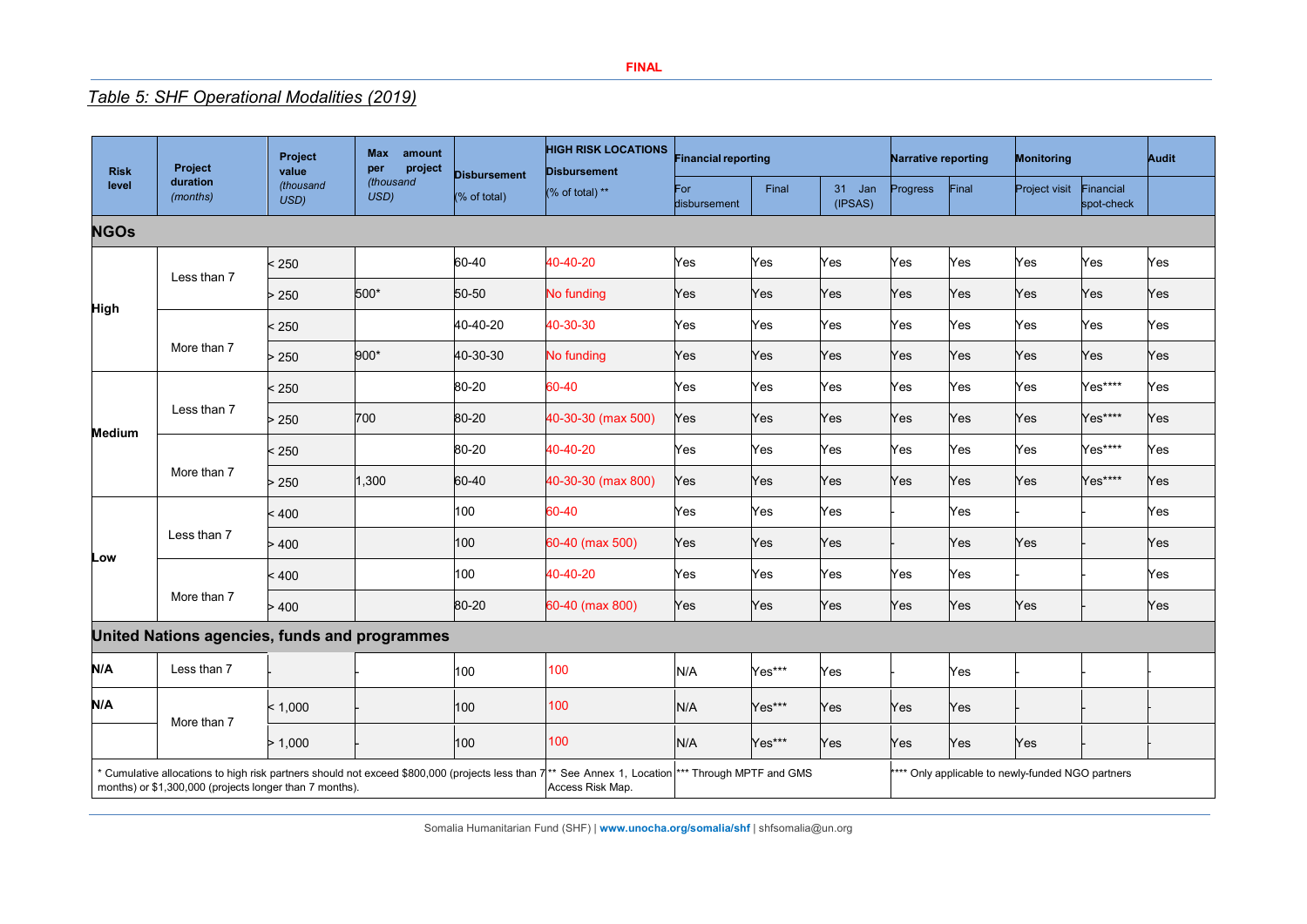## *Table 5: SHF Operational Modalities (2019)*

| <b>Risk</b><br>level                                                                                                                                                 | Project              | <b>Max</b><br>amount<br>Project<br>project<br>per<br>value | <b>HIGH RISK LOCATIONS</b><br><b>Disbursement</b><br><b>Disbursement</b> |              | <b>Financial reporting</b>                                                                             |                     | <b>Narrative reporting</b> |                   | Monitoring |       | Audit         |                         |     |
|----------------------------------------------------------------------------------------------------------------------------------------------------------------------|----------------------|------------------------------------------------------------|--------------------------------------------------------------------------|--------------|--------------------------------------------------------------------------------------------------------|---------------------|----------------------------|-------------------|------------|-------|---------------|-------------------------|-----|
|                                                                                                                                                                      | duration<br>(months) | (thousand<br>USD)                                          | (thousand<br>USD)                                                        | (% of total) | (% of total) **                                                                                        | For<br>disbursement | Final                      | 31 Jan<br>(IPSAS) | Progress   | Final | Project visit | Financial<br>spot-check |     |
| <b>NGOs</b>                                                                                                                                                          |                      |                                                            |                                                                          |              |                                                                                                        |                     |                            |                   |            |       |               |                         |     |
|                                                                                                                                                                      | Less than 7          | < 250                                                      |                                                                          | 60-40        | 40-40-20                                                                                               | Yes                 | Yes                        | Yes               | Yes        | Yes   | Yes           | Yes                     | Yes |
|                                                                                                                                                                      |                      | > 250                                                      | 500*                                                                     | 50-50        | No funding                                                                                             | Yes                 | Yes                        | Yes               | Yes        | Yes   | Yes           | Yes                     | Yes |
| <b>High</b>                                                                                                                                                          |                      | < 250                                                      |                                                                          | 40-40-20     | 40-30-30                                                                                               | Yes                 | Yes                        | Yes               | Yes        | Yes   | Yes           | Yes                     | Yes |
|                                                                                                                                                                      | More than 7          | > 250                                                      | 900*                                                                     | 40-30-30     | No funding                                                                                             | Yes                 | Yes                        | Yes               | Yes        | Yes   | Yes           | Yes                     | Yes |
|                                                                                                                                                                      |                      | < 250                                                      |                                                                          | 80-20        | 60-40                                                                                                  | Yes                 | Yes                        | Yes               | Yes        | Yes   | Yes           | Yes****                 | Yes |
| <b>Medium</b>                                                                                                                                                        | Less than 7          | > 250                                                      | 700                                                                      | 80-20        | 40-30-30 (max 500)                                                                                     | Yes                 | Yes                        | Yes               | Yes        | Yes   | Yes           | Yes****                 | Yes |
|                                                                                                                                                                      | More than 7          | < 250                                                      |                                                                          | 80-20        | 40-40-20                                                                                               | Yes                 | Yes                        | Yes               | Yes        | Yes   | Yes           | Yes****                 | Yes |
|                                                                                                                                                                      |                      | > 250                                                      | 1,300                                                                    | 60-40        | 40-30-30 (max 800)                                                                                     | Yes                 | Yes                        | Yes               | Yes        | Yes   | Yes           | Yes****                 | Yes |
|                                                                                                                                                                      | Less than 7          | < 400                                                      |                                                                          | 100          | 60-40                                                                                                  | Yes                 | Yes                        | Yes               |            | Yes   |               |                         | Yes |
| Low                                                                                                                                                                  |                      | >400                                                       |                                                                          | 100          | 60-40 (max 500)                                                                                        | Yes                 | Yes                        | Yes               |            | Yes   | Yes           |                         | Yes |
|                                                                                                                                                                      | More than 7          | < 400                                                      |                                                                          | 100          | 40-40-20                                                                                               | Yes                 | Yes                        | Yes               | Yes        | Yes   |               |                         | Yes |
|                                                                                                                                                                      |                      | >400                                                       |                                                                          | 80-20        | 60-40 (max 800)                                                                                        | Yes                 | Yes                        | Yes               | Yes        | Yes   | Yes           |                         | Yes |
| United Nations agencies, funds and programmes                                                                                                                        |                      |                                                            |                                                                          |              |                                                                                                        |                     |                            |                   |            |       |               |                         |     |
| N/A                                                                                                                                                                  | Less than 7          |                                                            |                                                                          | 100          | 100                                                                                                    | N/A                 | Yes***                     | Yes               |            | Yes   |               |                         |     |
| N/A                                                                                                                                                                  | More than 7          | < 1,000                                                    |                                                                          | 100          | 100                                                                                                    | N/A                 | Yes***                     | Yes               | Yes        | Yes   |               |                         |     |
|                                                                                                                                                                      |                      | > 1,000                                                    |                                                                          | 100          | 100                                                                                                    | N/A                 | Yes***                     | Yes               | Yes        | Yes   | Yes           |                         |     |
| $^\star$ Cumulative allocations to high risk partners should not exceed \$800,000 (projects less than $7$<br>months) or \$1,300,000 (projects longer than 7 months). |                      |                                                            | Access Risk Map.                                                         |              | **** Only applicable to newly-funded NGO partners<br>** See Annex 1, Location *** Through MPTF and GMS |                     |                            |                   |            |       |               |                         |     |

Somalia Humanitarian Fund (SHF) | **[www.unocha.org/somalia/shf](http://www.unocha.org/somalia/shf)** [| shfsomalia@un.org](mailto:shfsomalia@un.org)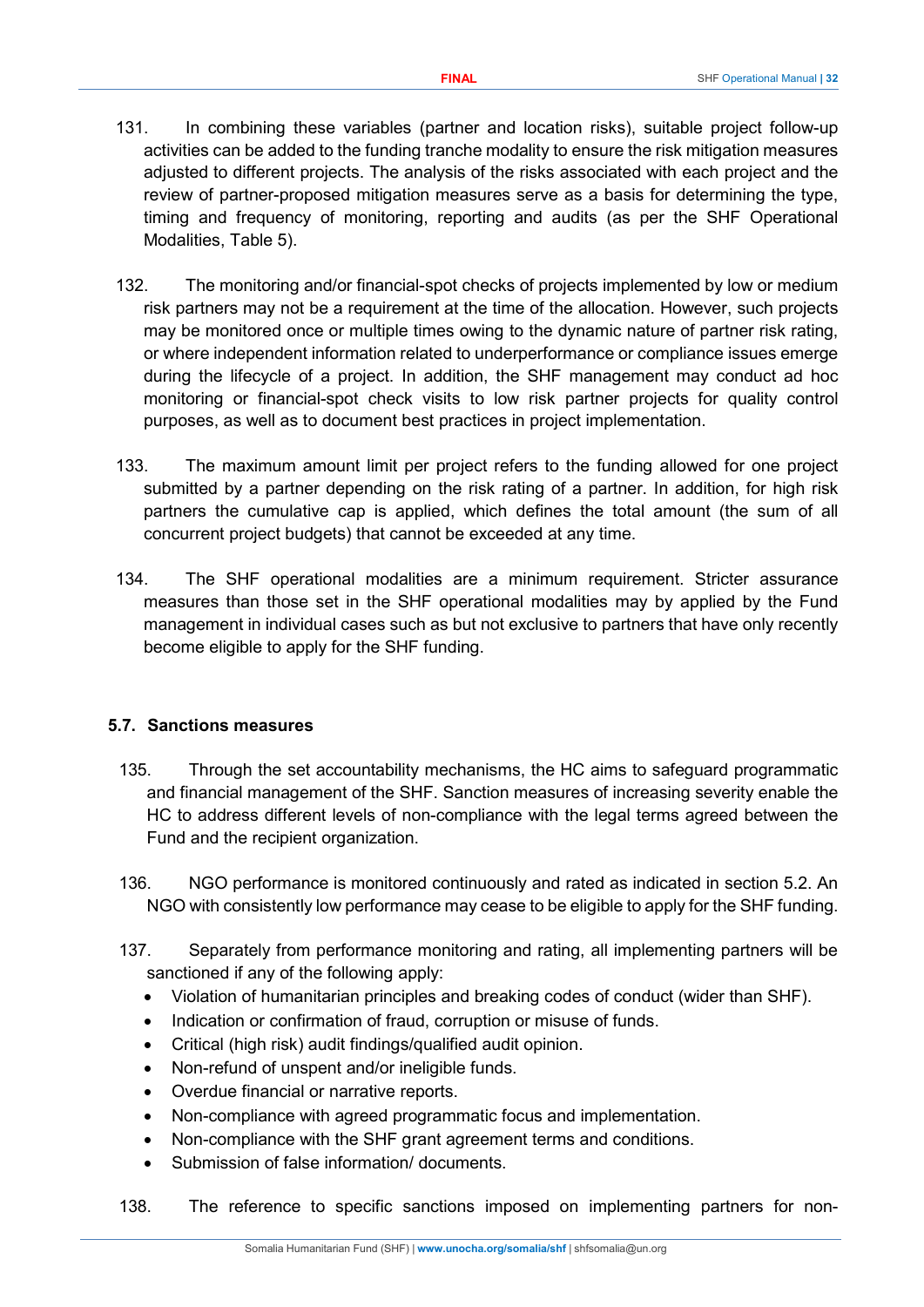- 131. In combining these variables (partner and location risks), suitable project follow-up activities can be added to the funding tranche modality to ensure the risk mitigation measures adjusted to different projects. The analysis of the risks associated with each project and the review of partner-proposed mitigation measures serve as a basis for determining the type, timing and frequency of monitoring, reporting and audits (as per the SHF Operational Modalities, Table 5).
- 132. The monitoring and/or financial-spot checks of projects implemented by low or medium risk partners may not be a requirement at the time of the allocation. However, such projects may be monitored once or multiple times owing to the dynamic nature of partner risk rating, or where independent information related to underperformance or compliance issues emerge during the lifecycle of a project. In addition, the SHF management may conduct ad hoc monitoring or financial-spot check visits to low risk partner projects for quality control purposes, as well as to document best practices in project implementation.
- 133. The maximum amount limit per project refers to the funding allowed for one project submitted by a partner depending on the risk rating of a partner. In addition, for high risk partners the cumulative cap is applied, which defines the total amount (the sum of all concurrent project budgets) that cannot be exceeded at any time.
- 134. The SHF operational modalities are a minimum requirement. Stricter assurance measures than those set in the SHF operational modalities may by applied by the Fund management in individual cases such as but not exclusive to partners that have only recently become eligible to apply for the SHF funding.

#### <span id="page-31-0"></span>**5.7. Sanctions measures**

- 135. Through the set accountability mechanisms, the HC aims to safeguard programmatic and financial management of the SHF. Sanction measures of increasing severity enable the HC to address different levels of non-compliance with the legal terms agreed between the Fund and the recipient organization.
- 136. NGO performance is monitored continuously and rated as indicated in section 5.2. An NGO with consistently low performance may cease to be eligible to apply for the SHF funding.
- 137. Separately from performance monitoring and rating, all implementing partners will be sanctioned if any of the following apply:
	- Violation of humanitarian principles and breaking codes of conduct (wider than SHF).
	- Indication or confirmation of fraud, corruption or misuse of funds.
	- Critical (high risk) audit findings/qualified audit opinion.
	- Non-refund of unspent and/or ineligible funds.
	- Overdue financial or narrative reports.
	- Non-compliance with agreed programmatic focus and implementation.
	- Non-compliance with the SHF grant agreement terms and conditions.
	- Submission of false information/ documents.
- 138. The reference to specific sanctions imposed on implementing partners for non-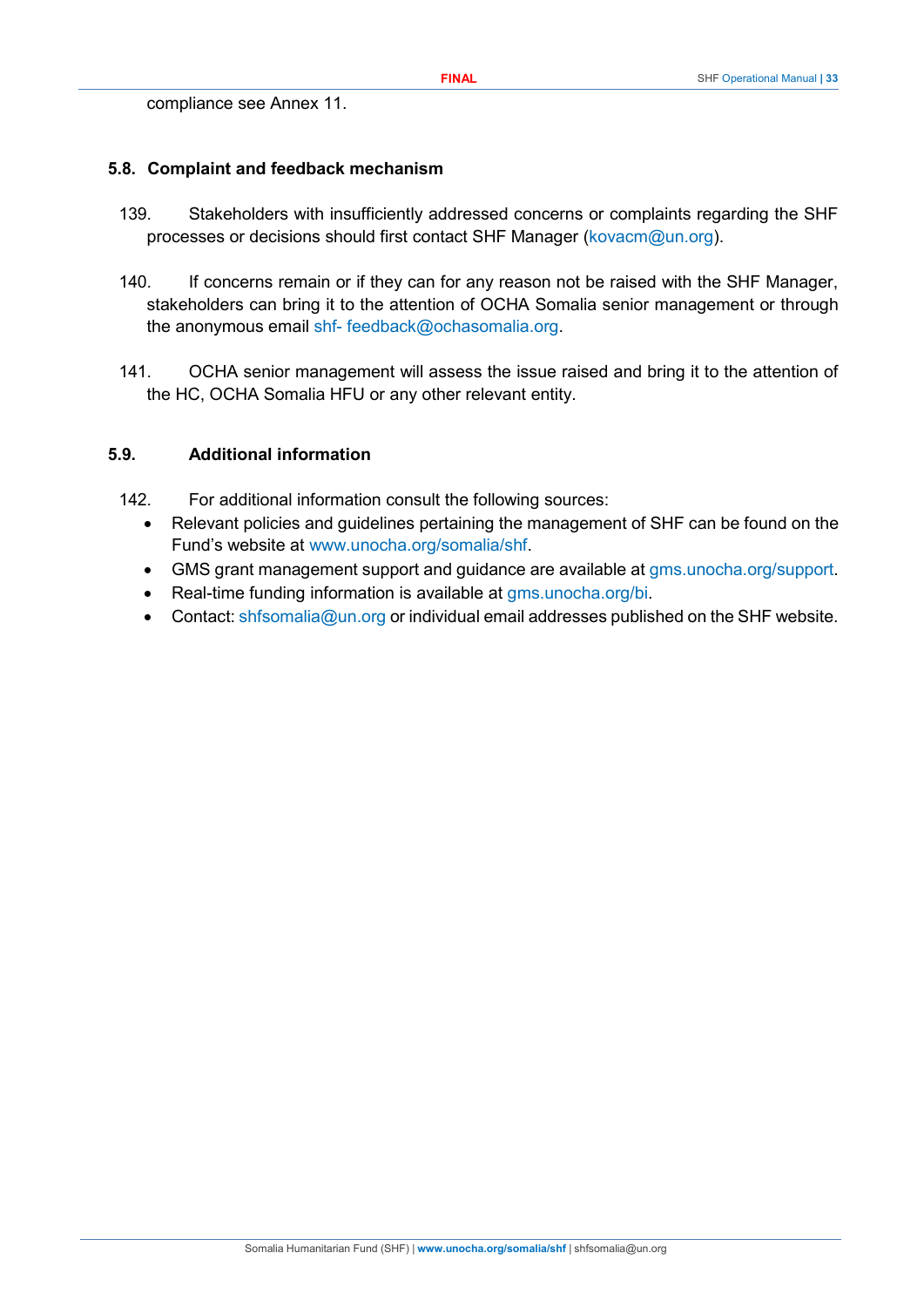compliance see Annex 11.

#### <span id="page-32-0"></span>**5.8. Complaint and feedback mechanism**

- 139. Stakeholders with insufficiently addressed concerns or complaints regarding the SHF processes or decisions should first contact SHF Manager [\(kovacm@un.org\)](mailto:kovacm@un.org).
- 140. If concerns remain or if they can for any reason not be raised with the SHF Manager, stakeholders can bring it to the attention of OCHA Somalia senior management or through the anonymous email [shf-](mailto:shf-feedback@ochasomalia.org) [feedback@ochasomalia.org.](mailto:shf-feedback@ochasomalia.org)
- 141. OCHA senior management will assess the issue raised and bring it to the attention of the HC, OCHA Somalia HFU or any other relevant entity.

#### <span id="page-32-1"></span>**5.9. Additional information**

- 142. For additional information consult the following sources:
	- Relevant policies and guidelines pertaining the management of SHF can be found on the Fund's website at [www.unocha.org/somalia/shf.](http://www.unocha.org/somalia/shf)
	- GMS grant management support and guidance are available at [gms.unocha.org/support.](https://gms.unocha.org/support)
	- Real-time funding information is available at [gms.unocha.org/bi.](https://gms.unocha.org/bi)
	- Contact: [shfsomalia@un.org](mailto:shfsomalia@un.org) or individual email addresses published on the SHF website.